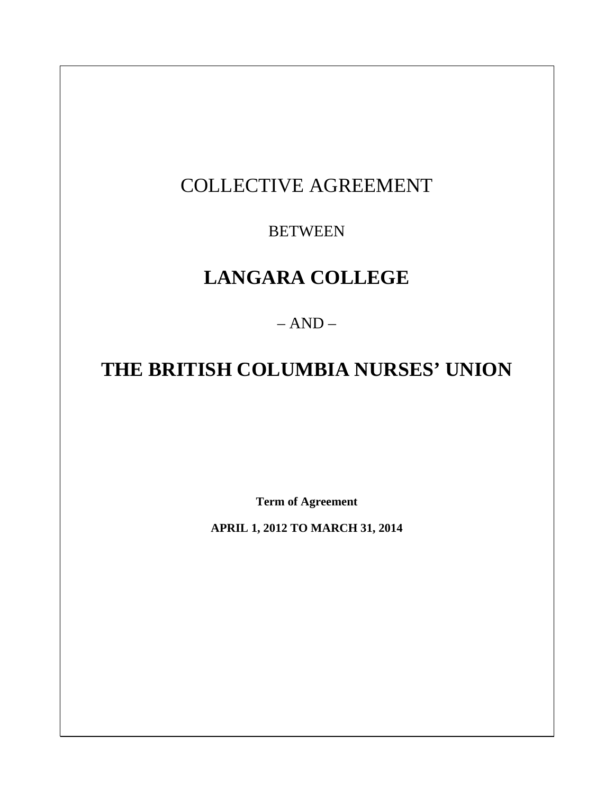## COLLECTIVE AGREEMENT

## **BETWEEN**

# **LANGARA COLLEGE**

 $- AND -$ 

# **THE BRITISH COLUMBIA NURSES' UNION**

**Term of Agreement** 

**APRIL 1, 2012 TO MARCH 31, 2014**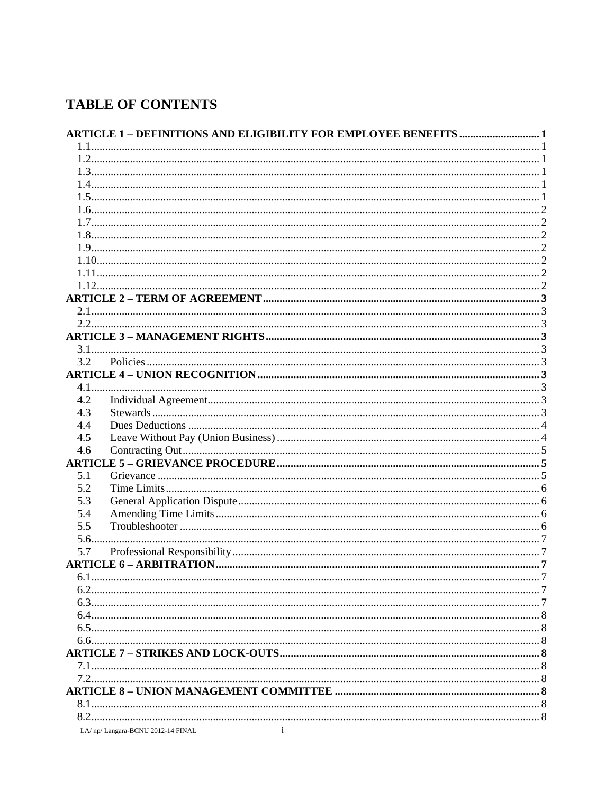## **TABLE OF CONTENTS**

| 3.2  |                                    |  |
|------|------------------------------------|--|
|      |                                    |  |
|      |                                    |  |
| 4.2  |                                    |  |
| 4.3  |                                    |  |
| 4.4  |                                    |  |
| 4.5  |                                    |  |
| 4.6  |                                    |  |
|      |                                    |  |
| 5.1  |                                    |  |
| 5.2  |                                    |  |
| 5.3  |                                    |  |
| 5.4  |                                    |  |
| 5.5  |                                    |  |
|      |                                    |  |
| 5.6. |                                    |  |
| 5.7  |                                    |  |
|      |                                    |  |
|      |                                    |  |
|      |                                    |  |
|      |                                    |  |
|      |                                    |  |
|      |                                    |  |
|      |                                    |  |
|      |                                    |  |
|      |                                    |  |
|      |                                    |  |
|      |                                    |  |
|      |                                    |  |
|      |                                    |  |
|      | $\mathbf{i}$                       |  |
|      | LA/ np/ Langara-BCNU 2012-14 FINAL |  |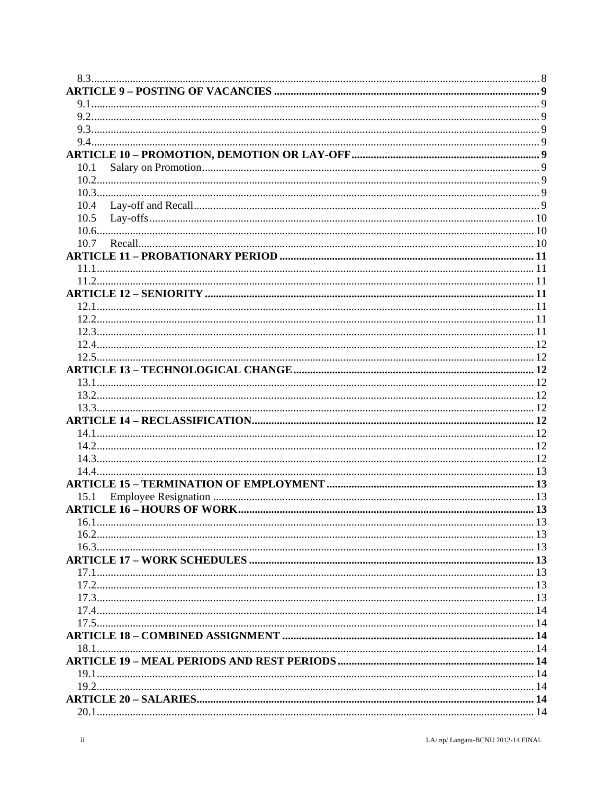| 10.1 |  |
|------|--|
|      |  |
|      |  |
| 10.4 |  |
| 10.5 |  |
|      |  |
| 10.7 |  |
|      |  |
|      |  |
|      |  |
|      |  |
|      |  |
|      |  |
|      |  |
|      |  |
|      |  |
|      |  |
|      |  |
|      |  |
|      |  |
|      |  |
|      |  |
|      |  |
|      |  |
|      |  |
|      |  |
|      |  |
|      |  |
| 15.1 |  |
|      |  |
| 16.1 |  |
|      |  |
|      |  |
|      |  |
|      |  |
|      |  |
|      |  |
|      |  |
|      |  |
|      |  |
|      |  |
|      |  |
|      |  |
|      |  |
|      |  |
|      |  |
|      |  |
|      |  |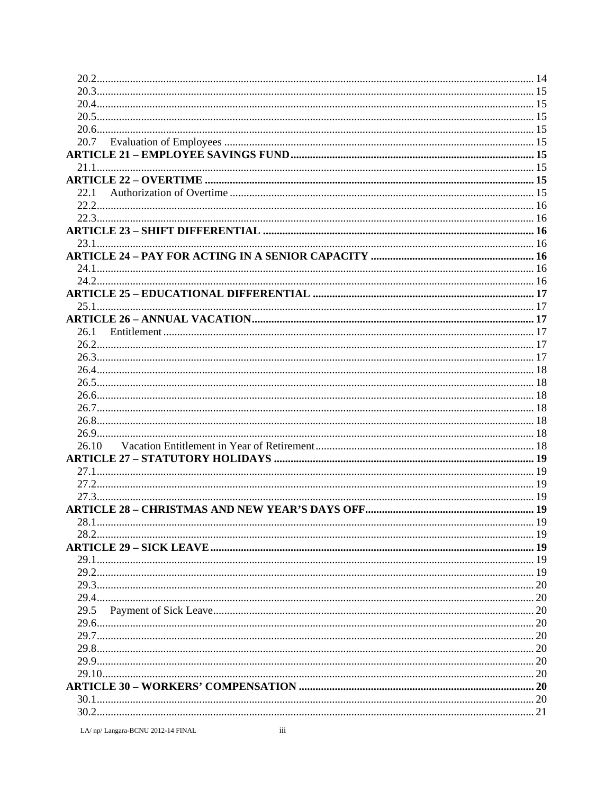| 22.1<br>26.1<br>26.10<br>28.1             |
|-------------------------------------------|
|                                           |
|                                           |
|                                           |
|                                           |
|                                           |
|                                           |
|                                           |
|                                           |
|                                           |
|                                           |
|                                           |
|                                           |
|                                           |
|                                           |
|                                           |
|                                           |
|                                           |
|                                           |
|                                           |
|                                           |
|                                           |
|                                           |
|                                           |
|                                           |
|                                           |
|                                           |
|                                           |
|                                           |
|                                           |
|                                           |
|                                           |
|                                           |
|                                           |
|                                           |
|                                           |
|                                           |
|                                           |
|                                           |
|                                           |
|                                           |
|                                           |
|                                           |
| 29.5                                      |
|                                           |
|                                           |
|                                           |
|                                           |
|                                           |
|                                           |
|                                           |
|                                           |
| iii<br>LA/ np/ Langara-BCNU 2012-14 FINAL |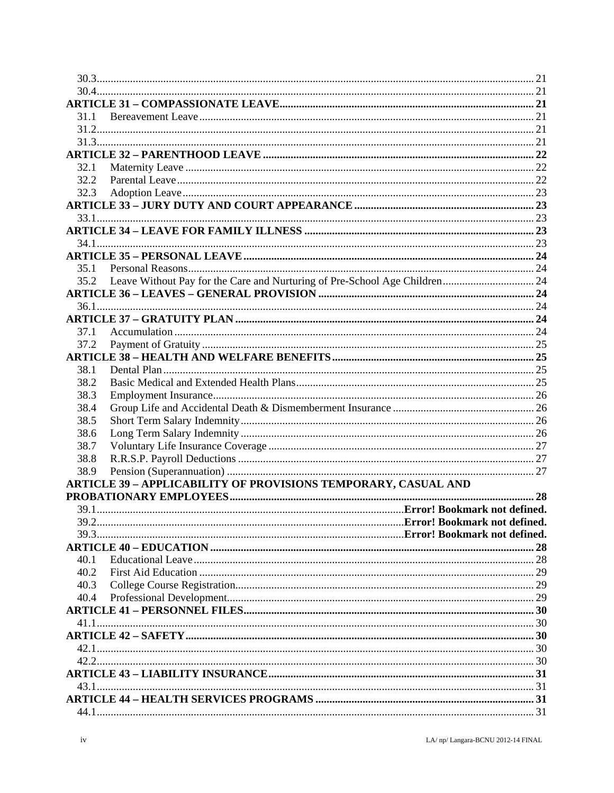| 31.1         |                                                                       |  |
|--------------|-----------------------------------------------------------------------|--|
|              |                                                                       |  |
|              |                                                                       |  |
|              |                                                                       |  |
| 32.1         |                                                                       |  |
| 32.2         |                                                                       |  |
| 32.3         |                                                                       |  |
|              |                                                                       |  |
|              |                                                                       |  |
|              |                                                                       |  |
|              |                                                                       |  |
|              |                                                                       |  |
| 35.1         |                                                                       |  |
| 35.2         |                                                                       |  |
|              |                                                                       |  |
|              |                                                                       |  |
|              |                                                                       |  |
| 37.1         |                                                                       |  |
| 37.2         |                                                                       |  |
|              |                                                                       |  |
| 38.1         |                                                                       |  |
| 38.2         |                                                                       |  |
| 38.3         |                                                                       |  |
| 38.4<br>38.5 |                                                                       |  |
| 38.6         |                                                                       |  |
| 38.7         |                                                                       |  |
| 38.8         |                                                                       |  |
| 38.9         |                                                                       |  |
|              | <b>ARTICLE 39 - APPLICABILITY OF PROVISIONS TEMPORARY, CASUAL AND</b> |  |
|              |                                                                       |  |
|              |                                                                       |  |
| 39.2         |                                                                       |  |
|              |                                                                       |  |
|              |                                                                       |  |
| 40.1         |                                                                       |  |
| 40.2         |                                                                       |  |
| 40.3         |                                                                       |  |
| 40.4         |                                                                       |  |
|              |                                                                       |  |
|              |                                                                       |  |
|              |                                                                       |  |
|              |                                                                       |  |
| 42.2         |                                                                       |  |
|              |                                                                       |  |
|              |                                                                       |  |
|              |                                                                       |  |
|              |                                                                       |  |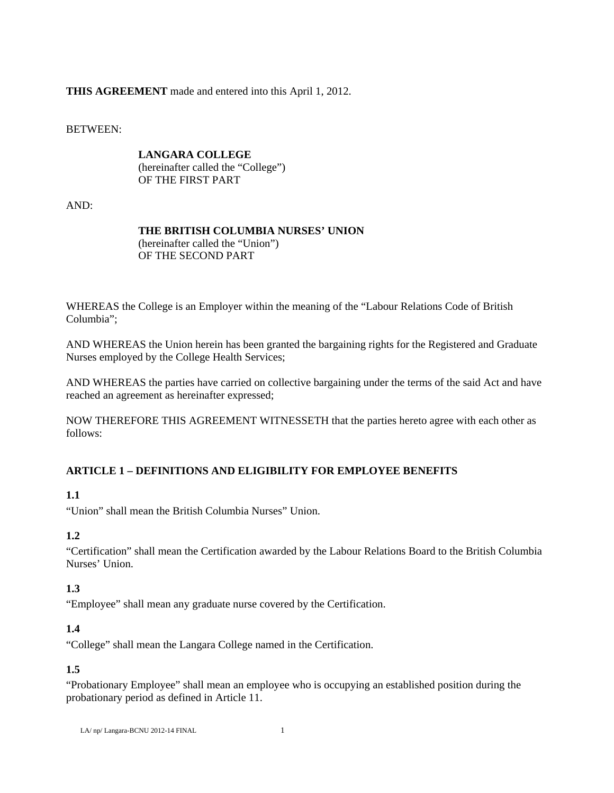## **THIS AGREEMENT** made and entered into this April 1, 2012.

BETWEEN:

 **LANGARA COLLEGE**  (hereinafter called the "College") OF THE FIRST PART

AND:

## **THE BRITISH COLUMBIA NURSES' UNION**

 (hereinafter called the "Union") OF THE SECOND PART

WHEREAS the College is an Employer within the meaning of the "Labour Relations Code of British Columbia";

AND WHEREAS the Union herein has been granted the bargaining rights for the Registered and Graduate Nurses employed by the College Health Services;

AND WHEREAS the parties have carried on collective bargaining under the terms of the said Act and have reached an agreement as hereinafter expressed;

NOW THEREFORE THIS AGREEMENT WITNESSETH that the parties hereto agree with each other as follows:

## **ARTICLE 1 – DEFINITIONS AND ELIGIBILITY FOR EMPLOYEE BENEFITS**

## **1.1**

"Union" shall mean the British Columbia Nurses" Union.

## **1.2**

"Certification" shall mean the Certification awarded by the Labour Relations Board to the British Columbia Nurses' Union.

## **1.3**

"Employee" shall mean any graduate nurse covered by the Certification.

## **1.4**

"College" shall mean the Langara College named in the Certification.

## **1.5**

"Probationary Employee" shall mean an employee who is occupying an established position during the probationary period as defined in Article 11.

```
LA/ np/ Langara-BCNU 2012-14 FINAL 1
```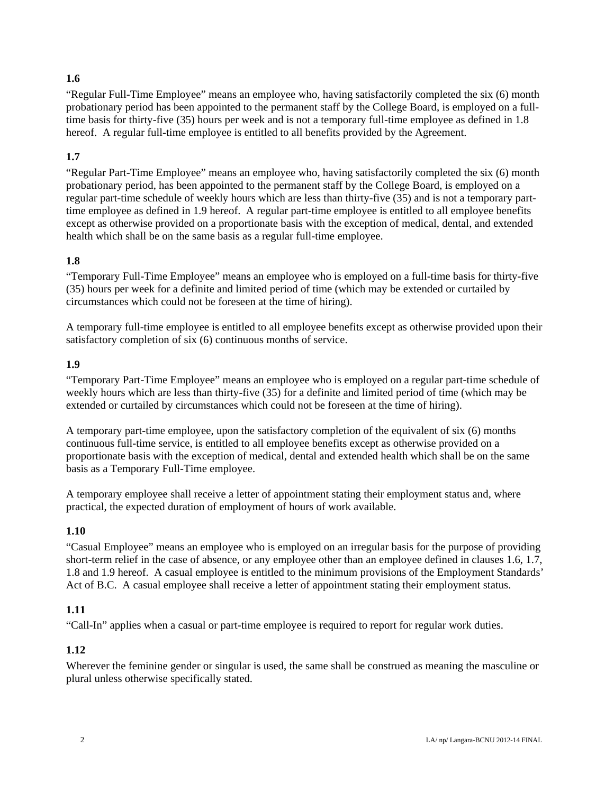## **1.6**

"Regular Full-Time Employee" means an employee who, having satisfactorily completed the six (6) month probationary period has been appointed to the permanent staff by the College Board, is employed on a fulltime basis for thirty-five (35) hours per week and is not a temporary full-time employee as defined in 1.8 hereof. A regular full-time employee is entitled to all benefits provided by the Agreement.

## **1.7**

"Regular Part-Time Employee" means an employee who, having satisfactorily completed the six (6) month probationary period, has been appointed to the permanent staff by the College Board, is employed on a regular part-time schedule of weekly hours which are less than thirty-five (35) and is not a temporary parttime employee as defined in 1.9 hereof. A regular part-time employee is entitled to all employee benefits except as otherwise provided on a proportionate basis with the exception of medical, dental, and extended health which shall be on the same basis as a regular full-time employee.

### **1.8**

"Temporary Full-Time Employee" means an employee who is employed on a full-time basis for thirty-five (35) hours per week for a definite and limited period of time (which may be extended or curtailed by circumstances which could not be foreseen at the time of hiring).

A temporary full-time employee is entitled to all employee benefits except as otherwise provided upon their satisfactory completion of six (6) continuous months of service.

### **1.9**

"Temporary Part-Time Employee" means an employee who is employed on a regular part-time schedule of weekly hours which are less than thirty-five (35) for a definite and limited period of time (which may be extended or curtailed by circumstances which could not be foreseen at the time of hiring).

A temporary part-time employee, upon the satisfactory completion of the equivalent of six (6) months continuous full-time service, is entitled to all employee benefits except as otherwise provided on a proportionate basis with the exception of medical, dental and extended health which shall be on the same basis as a Temporary Full-Time employee.

A temporary employee shall receive a letter of appointment stating their employment status and, where practical, the expected duration of employment of hours of work available.

#### **1.10**

"Casual Employee" means an employee who is employed on an irregular basis for the purpose of providing short-term relief in the case of absence, or any employee other than an employee defined in clauses 1.6, 1.7, 1.8 and 1.9 hereof. A casual employee is entitled to the minimum provisions of the Employment Standards' Act of B.C. A casual employee shall receive a letter of appointment stating their employment status.

#### **1.11**

"Call-In" applies when a casual or part-time employee is required to report for regular work duties.

## **1.12**

Wherever the feminine gender or singular is used, the same shall be construed as meaning the masculine or plural unless otherwise specifically stated.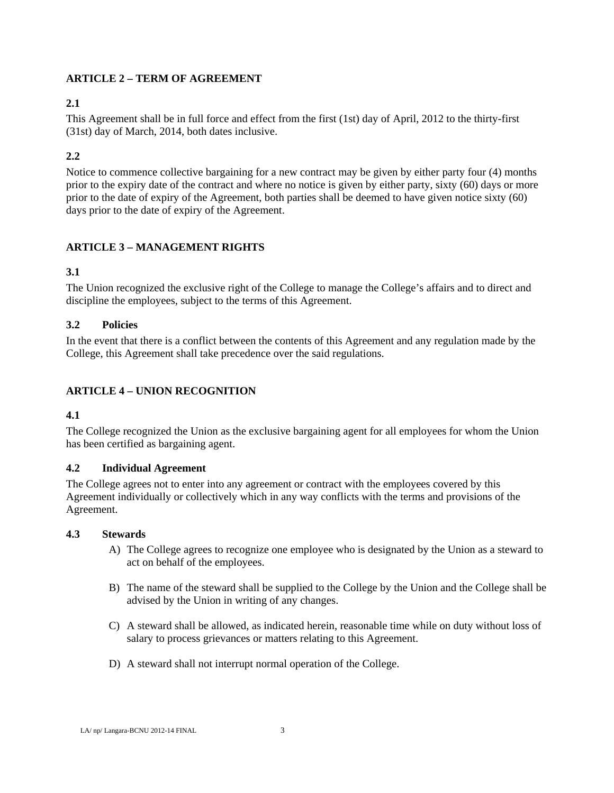## **ARTICLE 2 – TERM OF AGREEMENT**

## **2.1**

This Agreement shall be in full force and effect from the first (1st) day of April, 2012 to the thirty-first (31st) day of March, 2014, both dates inclusive.

## **2.2**

Notice to commence collective bargaining for a new contract may be given by either party four (4) months prior to the expiry date of the contract and where no notice is given by either party, sixty (60) days or more prior to the date of expiry of the Agreement, both parties shall be deemed to have given notice sixty (60) days prior to the date of expiry of the Agreement.

## **ARTICLE 3 – MANAGEMENT RIGHTS**

### **3.1**

The Union recognized the exclusive right of the College to manage the College's affairs and to direct and discipline the employees, subject to the terms of this Agreement.

### **3.2 Policies**

In the event that there is a conflict between the contents of this Agreement and any regulation made by the College, this Agreement shall take precedence over the said regulations.

## **ARTICLE 4 – UNION RECOGNITION**

#### **4.1**

The College recognized the Union as the exclusive bargaining agent for all employees for whom the Union has been certified as bargaining agent.

#### **4.2 Individual Agreement**

The College agrees not to enter into any agreement or contract with the employees covered by this Agreement individually or collectively which in any way conflicts with the terms and provisions of the Agreement.

#### **4.3 Stewards**

- A) The College agrees to recognize one employee who is designated by the Union as a steward to act on behalf of the employees.
- B) The name of the steward shall be supplied to the College by the Union and the College shall be advised by the Union in writing of any changes.
- C) A steward shall be allowed, as indicated herein, reasonable time while on duty without loss of salary to process grievances or matters relating to this Agreement.
- D) A steward shall not interrupt normal operation of the College.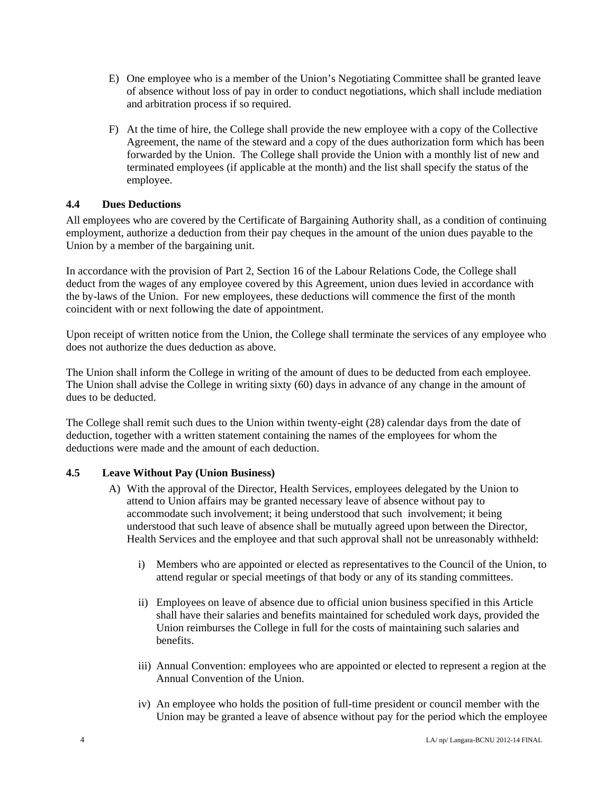- E) One employee who is a member of the Union's Negotiating Committee shall be granted leave of absence without loss of pay in order to conduct negotiations, which shall include mediation and arbitration process if so required.
- F) At the time of hire, the College shall provide the new employee with a copy of the Collective Agreement, the name of the steward and a copy of the dues authorization form which has been forwarded by the Union. The College shall provide the Union with a monthly list of new and terminated employees (if applicable at the month) and the list shall specify the status of the employee.

### **4.4 Dues Deductions**

All employees who are covered by the Certificate of Bargaining Authority shall, as a condition of continuing employment, authorize a deduction from their pay cheques in the amount of the union dues payable to the Union by a member of the bargaining unit.

In accordance with the provision of Part 2, Section 16 of the Labour Relations Code, the College shall deduct from the wages of any employee covered by this Agreement, union dues levied in accordance with the by-laws of the Union. For new employees, these deductions will commence the first of the month coincident with or next following the date of appointment.

Upon receipt of written notice from the Union, the College shall terminate the services of any employee who does not authorize the dues deduction as above.

The Union shall inform the College in writing of the amount of dues to be deducted from each employee. The Union shall advise the College in writing sixty (60) days in advance of any change in the amount of dues to be deducted.

The College shall remit such dues to the Union within twenty-eight (28) calendar days from the date of deduction, together with a written statement containing the names of the employees for whom the deductions were made and the amount of each deduction.

#### **4.5 Leave Without Pay (Union Business)**

- A) With the approval of the Director, Health Services, employees delegated by the Union to attend to Union affairs may be granted necessary leave of absence without pay to accommodate such involvement; it being understood that such involvement; it being understood that such leave of absence shall be mutually agreed upon between the Director, Health Services and the employee and that such approval shall not be unreasonably withheld:
	- i) Members who are appointed or elected as representatives to the Council of the Union, to attend regular or special meetings of that body or any of its standing committees.
	- ii) Employees on leave of absence due to official union business specified in this Article shall have their salaries and benefits maintained for scheduled work days, provided the Union reimburses the College in full for the costs of maintaining such salaries and benefits.
	- iii) Annual Convention: employees who are appointed or elected to represent a region at the Annual Convention of the Union.
	- iv) An employee who holds the position of full-time president or council member with the Union may be granted a leave of absence without pay for the period which the employee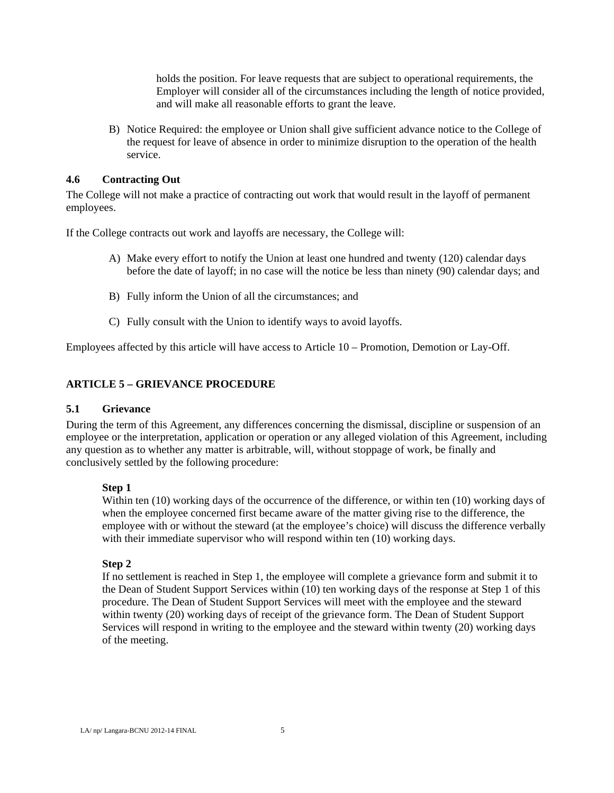holds the position. For leave requests that are subject to operational requirements, the Employer will consider all of the circumstances including the length of notice provided, and will make all reasonable efforts to grant the leave.

B) Notice Required: the employee or Union shall give sufficient advance notice to the College of the request for leave of absence in order to minimize disruption to the operation of the health service.

#### **4.6 Contracting Out**

The College will not make a practice of contracting out work that would result in the layoff of permanent employees.

If the College contracts out work and layoffs are necessary, the College will:

- A) Make every effort to notify the Union at least one hundred and twenty (120) calendar days before the date of layoff; in no case will the notice be less than ninety (90) calendar days; and
- B) Fully inform the Union of all the circumstances; and
- C) Fully consult with the Union to identify ways to avoid layoffs.

Employees affected by this article will have access to Article 10 – Promotion, Demotion or Lay-Off.

### **ARTICLE 5 – GRIEVANCE PROCEDURE**

#### **5.1 Grievance**

During the term of this Agreement, any differences concerning the dismissal, discipline or suspension of an employee or the interpretation, application or operation or any alleged violation of this Agreement, including any question as to whether any matter is arbitrable, will, without stoppage of work, be finally and conclusively settled by the following procedure:

#### **Step 1**

Within ten (10) working days of the occurrence of the difference, or within ten (10) working days of when the employee concerned first became aware of the matter giving rise to the difference, the employee with or without the steward (at the employee's choice) will discuss the difference verbally with their immediate supervisor who will respond within ten (10) working days.

#### **Step 2**

If no settlement is reached in Step 1, the employee will complete a grievance form and submit it to the Dean of Student Support Services within (10) ten working days of the response at Step 1 of this procedure. The Dean of Student Support Services will meet with the employee and the steward within twenty (20) working days of receipt of the grievance form. The Dean of Student Support Services will respond in writing to the employee and the steward within twenty (20) working days of the meeting.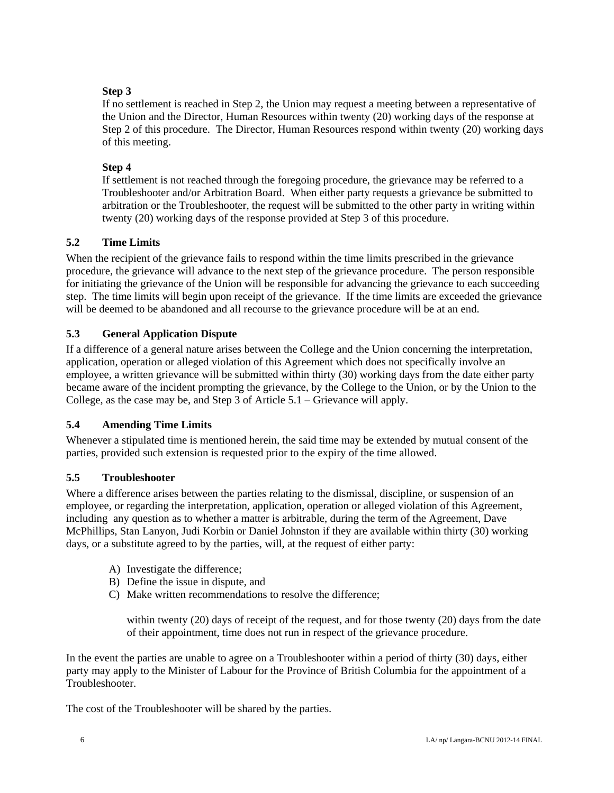## **Step 3**

If no settlement is reached in Step 2, the Union may request a meeting between a representative of the Union and the Director, Human Resources within twenty (20) working days of the response at Step 2 of this procedure. The Director, Human Resources respond within twenty (20) working days of this meeting.

## **Step 4**

If settlement is not reached through the foregoing procedure, the grievance may be referred to a Troubleshooter and/or Arbitration Board. When either party requests a grievance be submitted to arbitration or the Troubleshooter, the request will be submitted to the other party in writing within twenty (20) working days of the response provided at Step 3 of this procedure.

## **5.2 Time Limits**

When the recipient of the grievance fails to respond within the time limits prescribed in the grievance procedure, the grievance will advance to the next step of the grievance procedure. The person responsible for initiating the grievance of the Union will be responsible for advancing the grievance to each succeeding step. The time limits will begin upon receipt of the grievance. If the time limits are exceeded the grievance will be deemed to be abandoned and all recourse to the grievance procedure will be at an end.

### **5.3 General Application Dispute**

If a difference of a general nature arises between the College and the Union concerning the interpretation, application, operation or alleged violation of this Agreement which does not specifically involve an employee, a written grievance will be submitted within thirty (30) working days from the date either party became aware of the incident prompting the grievance, by the College to the Union, or by the Union to the College, as the case may be, and Step 3 of Article 5.1 – Grievance will apply.

## **5.4 Amending Time Limits**

Whenever a stipulated time is mentioned herein, the said time may be extended by mutual consent of the parties, provided such extension is requested prior to the expiry of the time allowed.

#### **5.5 Troubleshooter**

Where a difference arises between the parties relating to the dismissal, discipline, or suspension of an employee, or regarding the interpretation, application, operation or alleged violation of this Agreement, including any question as to whether a matter is arbitrable, during the term of the Agreement, Dave McPhillips, Stan Lanyon, Judi Korbin or Daniel Johnston if they are available within thirty (30) working days, or a substitute agreed to by the parties, will, at the request of either party:

- A) Investigate the difference;
- B) Define the issue in dispute, and
- C) Make written recommendations to resolve the difference;

within twenty (20) days of receipt of the request, and for those twenty (20) days from the date of their appointment, time does not run in respect of the grievance procedure.

In the event the parties are unable to agree on a Troubleshooter within a period of thirty (30) days, either party may apply to the Minister of Labour for the Province of British Columbia for the appointment of a Troubleshooter.

The cost of the Troubleshooter will be shared by the parties.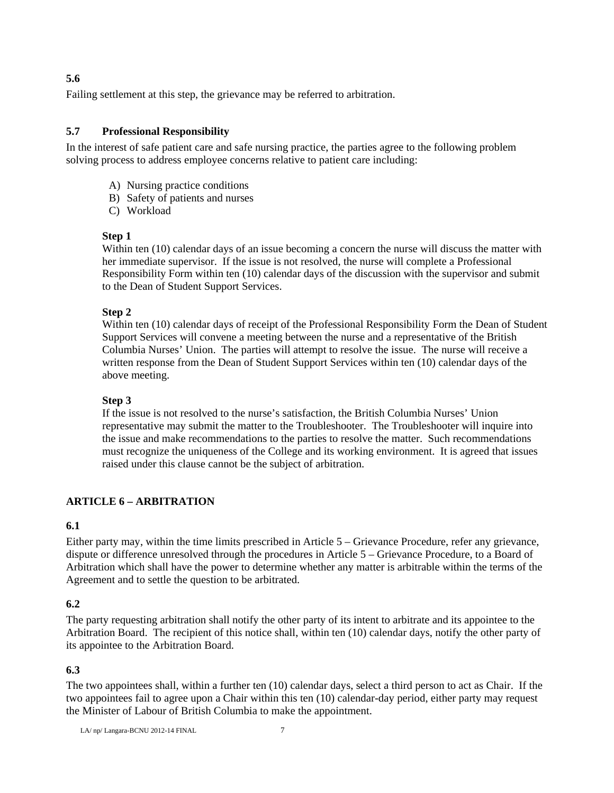**5.6** 

Failing settlement at this step, the grievance may be referred to arbitration.

#### **5.7 Professional Responsibility**

In the interest of safe patient care and safe nursing practice, the parties agree to the following problem solving process to address employee concerns relative to patient care including:

- A) Nursing practice conditions
- B) Safety of patients and nurses
- C) Workload

#### **Step 1**

Within ten (10) calendar days of an issue becoming a concern the nurse will discuss the matter with her immediate supervisor. If the issue is not resolved, the nurse will complete a Professional Responsibility Form within ten (10) calendar days of the discussion with the supervisor and submit to the Dean of Student Support Services.

#### **Step 2**

Within ten (10) calendar days of receipt of the Professional Responsibility Form the Dean of Student Support Services will convene a meeting between the nurse and a representative of the British Columbia Nurses' Union. The parties will attempt to resolve the issue. The nurse will receive a written response from the Dean of Student Support Services within ten (10) calendar days of the above meeting.

#### **Step 3**

If the issue is not resolved to the nurse's satisfaction, the British Columbia Nurses' Union representative may submit the matter to the Troubleshooter. The Troubleshooter will inquire into the issue and make recommendations to the parties to resolve the matter. Such recommendations must recognize the uniqueness of the College and its working environment. It is agreed that issues raised under this clause cannot be the subject of arbitration.

#### **ARTICLE 6 – ARBITRATION**

#### **6.1**

Either party may, within the time limits prescribed in Article 5 – Grievance Procedure, refer any grievance, dispute or difference unresolved through the procedures in Article 5 – Grievance Procedure, to a Board of Arbitration which shall have the power to determine whether any matter is arbitrable within the terms of the Agreement and to settle the question to be arbitrated.

#### **6.2**

The party requesting arbitration shall notify the other party of its intent to arbitrate and its appointee to the Arbitration Board. The recipient of this notice shall, within ten (10) calendar days, notify the other party of its appointee to the Arbitration Board.

#### **6.3**

The two appointees shall, within a further ten (10) calendar days, select a third person to act as Chair. If the two appointees fail to agree upon a Chair within this ten (10) calendar-day period, either party may request the Minister of Labour of British Columbia to make the appointment.

LA/ $np$ / Langara-BCNU 2012-14 FINAL  $7$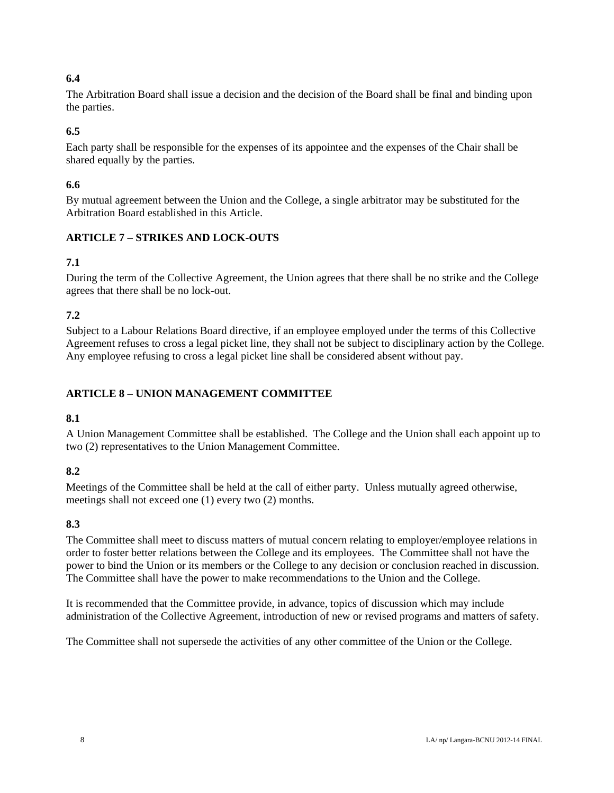## **6.4**

The Arbitration Board shall issue a decision and the decision of the Board shall be final and binding upon the parties.

## **6.5**

Each party shall be responsible for the expenses of its appointee and the expenses of the Chair shall be shared equally by the parties.

## **6.6**

By mutual agreement between the Union and the College, a single arbitrator may be substituted for the Arbitration Board established in this Article.

## **ARTICLE 7 – STRIKES AND LOCK-OUTS**

## **7.1**

During the term of the Collective Agreement, the Union agrees that there shall be no strike and the College agrees that there shall be no lock-out.

## **7.2**

Subject to a Labour Relations Board directive, if an employee employed under the terms of this Collective Agreement refuses to cross a legal picket line, they shall not be subject to disciplinary action by the College. Any employee refusing to cross a legal picket line shall be considered absent without pay.

## **ARTICLE 8 – UNION MANAGEMENT COMMITTEE**

## **8.1**

A Union Management Committee shall be established. The College and the Union shall each appoint up to two (2) representatives to the Union Management Committee.

## **8.2**

Meetings of the Committee shall be held at the call of either party. Unless mutually agreed otherwise, meetings shall not exceed one (1) every two (2) months.

## **8.3**

The Committee shall meet to discuss matters of mutual concern relating to employer/employee relations in order to foster better relations between the College and its employees. The Committee shall not have the power to bind the Union or its members or the College to any decision or conclusion reached in discussion. The Committee shall have the power to make recommendations to the Union and the College.

It is recommended that the Committee provide, in advance, topics of discussion which may include administration of the Collective Agreement, introduction of new or revised programs and matters of safety.

The Committee shall not supersede the activities of any other committee of the Union or the College.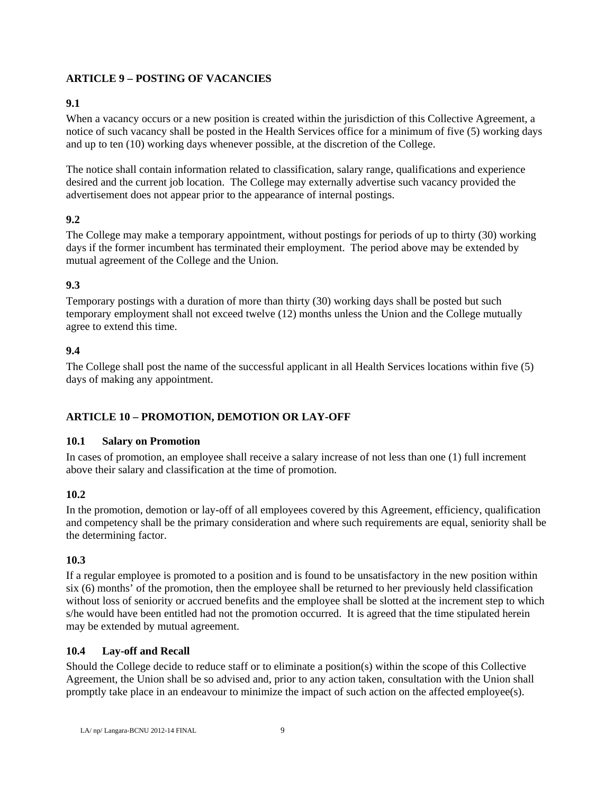## **ARTICLE 9 – POSTING OF VACANCIES**

## **9.1**

When a vacancy occurs or a new position is created within the jurisdiction of this Collective Agreement, a notice of such vacancy shall be posted in the Health Services office for a minimum of five (5) working days and up to ten (10) working days whenever possible, at the discretion of the College.

The notice shall contain information related to classification, salary range, qualifications and experience desired and the current job location. The College may externally advertise such vacancy provided the advertisement does not appear prior to the appearance of internal postings.

## **9.2**

The College may make a temporary appointment, without postings for periods of up to thirty (30) working days if the former incumbent has terminated their employment. The period above may be extended by mutual agreement of the College and the Union.

## **9.3**

Temporary postings with a duration of more than thirty (30) working days shall be posted but such temporary employment shall not exceed twelve (12) months unless the Union and the College mutually agree to extend this time.

## **9.4**

The College shall post the name of the successful applicant in all Health Services locations within five (5) days of making any appointment.

## **ARTICLE 10 – PROMOTION, DEMOTION OR LAY-OFF**

## **10.1 Salary on Promotion**

In cases of promotion, an employee shall receive a salary increase of not less than one (1) full increment above their salary and classification at the time of promotion.

## **10.2**

In the promotion, demotion or lay-off of all employees covered by this Agreement, efficiency, qualification and competency shall be the primary consideration and where such requirements are equal, seniority shall be the determining factor.

## **10.3**

If a regular employee is promoted to a position and is found to be unsatisfactory in the new position within six (6) months' of the promotion, then the employee shall be returned to her previously held classification without loss of seniority or accrued benefits and the employee shall be slotted at the increment step to which s/he would have been entitled had not the promotion occurred. It is agreed that the time stipulated herein may be extended by mutual agreement.

## **10.4 Lay-off and Recall**

Should the College decide to reduce staff or to eliminate a position(s) within the scope of this Collective Agreement, the Union shall be so advised and, prior to any action taken, consultation with the Union shall promptly take place in an endeavour to minimize the impact of such action on the affected employee(s).

LA/ $np$ / Langara-BCNU 2012-14 FINAL 9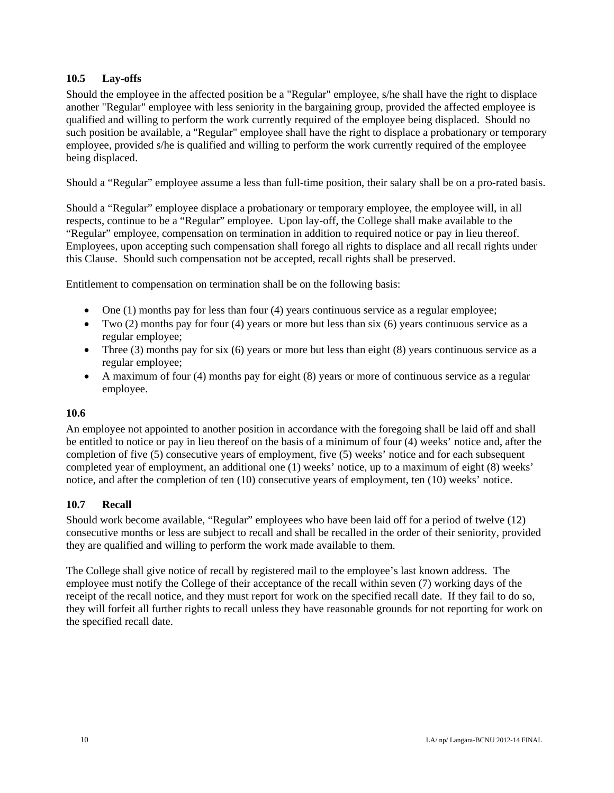## **10.5 Lay-offs**

Should the employee in the affected position be a "Regular" employee, s/he shall have the right to displace another "Regular" employee with less seniority in the bargaining group, provided the affected employee is qualified and willing to perform the work currently required of the employee being displaced. Should no such position be available, a "Regular" employee shall have the right to displace a probationary or temporary employee, provided s/he is qualified and willing to perform the work currently required of the employee being displaced.

Should a "Regular" employee assume a less than full-time position, their salary shall be on a pro-rated basis.

Should a "Regular" employee displace a probationary or temporary employee, the employee will, in all respects, continue to be a "Regular" employee. Upon lay-off, the College shall make available to the "Regular" employee, compensation on termination in addition to required notice or pay in lieu thereof. Employees, upon accepting such compensation shall forego all rights to displace and all recall rights under this Clause. Should such compensation not be accepted, recall rights shall be preserved.

Entitlement to compensation on termination shall be on the following basis:

- $\bullet$  One (1) months pay for less than four (4) years continuous service as a regular employee;
- $\bullet$  Two (2) months pay for four (4) years or more but less than six (6) years continuous service as a regular employee;
- Three (3) months pay for six (6) years or more but less than eight (8) years continuous service as a regular employee;
- $\bullet$  A maximum of four (4) months pay for eight (8) years or more of continuous service as a regular employee.

#### **10.6**

An employee not appointed to another position in accordance with the foregoing shall be laid off and shall be entitled to notice or pay in lieu thereof on the basis of a minimum of four (4) weeks' notice and, after the completion of five (5) consecutive years of employment, five (5) weeks' notice and for each subsequent completed year of employment, an additional one (1) weeks' notice, up to a maximum of eight (8) weeks' notice, and after the completion of ten (10) consecutive years of employment, ten (10) weeks' notice.

#### **10.7 Recall**

Should work become available, "Regular" employees who have been laid off for a period of twelve (12) consecutive months or less are subject to recall and shall be recalled in the order of their seniority, provided they are qualified and willing to perform the work made available to them.

The College shall give notice of recall by registered mail to the employee's last known address. The employee must notify the College of their acceptance of the recall within seven (7) working days of the receipt of the recall notice, and they must report for work on the specified recall date. If they fail to do so, they will forfeit all further rights to recall unless they have reasonable grounds for not reporting for work on the specified recall date.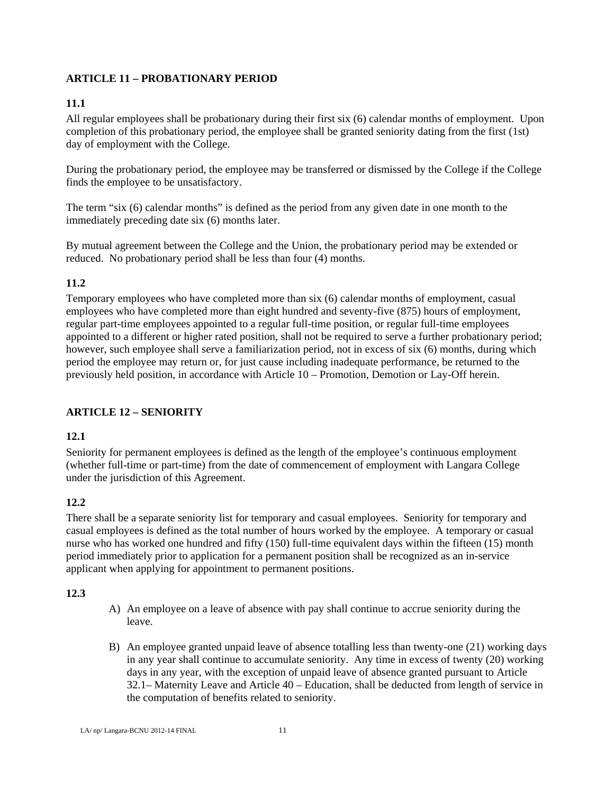## **ARTICLE 11 – PROBATIONARY PERIOD**

## **11.1**

All regular employees shall be probationary during their first six (6) calendar months of employment. Upon completion of this probationary period, the employee shall be granted seniority dating from the first (1st) day of employment with the College.

During the probationary period, the employee may be transferred or dismissed by the College if the College finds the employee to be unsatisfactory.

The term "six (6) calendar months" is defined as the period from any given date in one month to the immediately preceding date six (6) months later.

By mutual agreement between the College and the Union, the probationary period may be extended or reduced. No probationary period shall be less than four (4) months.

## **11.2**

Temporary employees who have completed more than six (6) calendar months of employment, casual employees who have completed more than eight hundred and seventy-five (875) hours of employment, regular part-time employees appointed to a regular full-time position, or regular full-time employees appointed to a different or higher rated position, shall not be required to serve a further probationary period; however, such employee shall serve a familiarization period, not in excess of six (6) months, during which period the employee may return or, for just cause including inadequate performance, be returned to the previously held position, in accordance with Article 10 – Promotion, Demotion or Lay-Off herein.

## **ARTICLE 12 – SENIORITY**

## **12.1**

Seniority for permanent employees is defined as the length of the employee's continuous employment (whether full-time or part-time) from the date of commencement of employment with Langara College under the jurisdiction of this Agreement.

## **12.2**

There shall be a separate seniority list for temporary and casual employees. Seniority for temporary and casual employees is defined as the total number of hours worked by the employee. A temporary or casual nurse who has worked one hundred and fifty (150) full-time equivalent days within the fifteen (15) month period immediately prior to application for a permanent position shall be recognized as an in-service applicant when applying for appointment to permanent positions.

## **12.3**

- A) An employee on a leave of absence with pay shall continue to accrue seniority during the leave.
- B) An employee granted unpaid leave of absence totalling less than twenty-one (21) working days in any year shall continue to accumulate seniority. Any time in excess of twenty (20) working days in any year, with the exception of unpaid leave of absence granted pursuant to Article 32.1– Maternity Leave and Article 40 – Education, shall be deducted from length of service in the computation of benefits related to seniority.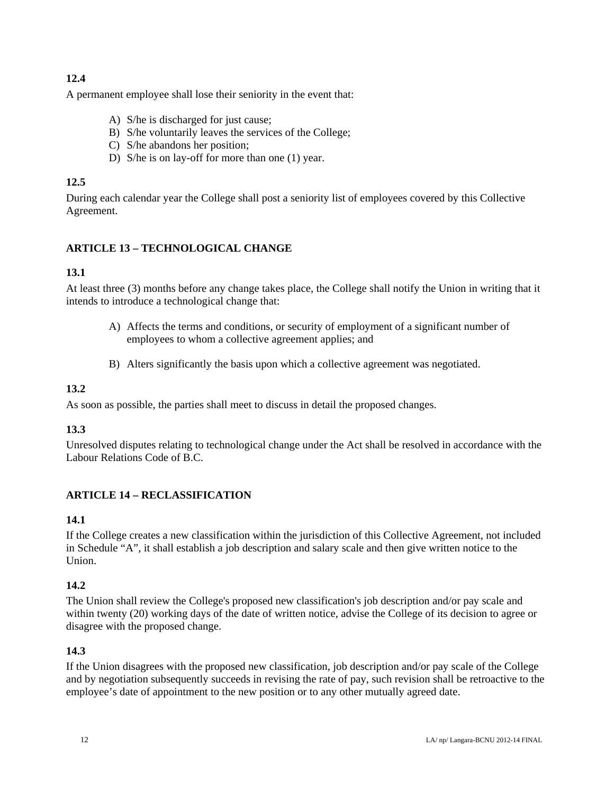## **12.4**

A permanent employee shall lose their seniority in the event that:

- A) S/he is discharged for just cause;
- B) S/he voluntarily leaves the services of the College;
- C) S/he abandons her position;
- D) S/he is on lay-off for more than one (1) year.

## **12.5**

During each calendar year the College shall post a seniority list of employees covered by this Collective Agreement.

## **ARTICLE 13 – TECHNOLOGICAL CHANGE**

## **13.1**

At least three (3) months before any change takes place, the College shall notify the Union in writing that it intends to introduce a technological change that:

- A) Affects the terms and conditions, or security of employment of a significant number of employees to whom a collective agreement applies; and
- B) Alters significantly the basis upon which a collective agreement was negotiated.

## **13.2**

As soon as possible, the parties shall meet to discuss in detail the proposed changes.

## **13.3**

Unresolved disputes relating to technological change under the Act shall be resolved in accordance with the Labour Relations Code of B.C.

## **ARTICLE 14 – RECLASSIFICATION**

## **14.1**

If the College creates a new classification within the jurisdiction of this Collective Agreement, not included in Schedule "A", it shall establish a job description and salary scale and then give written notice to the Union.

## **14.2**

The Union shall review the College's proposed new classification's job description and/or pay scale and within twenty (20) working days of the date of written notice, advise the College of its decision to agree or disagree with the proposed change.

## **14.3**

If the Union disagrees with the proposed new classification, job description and/or pay scale of the College and by negotiation subsequently succeeds in revising the rate of pay, such revision shall be retroactive to the employee's date of appointment to the new position or to any other mutually agreed date.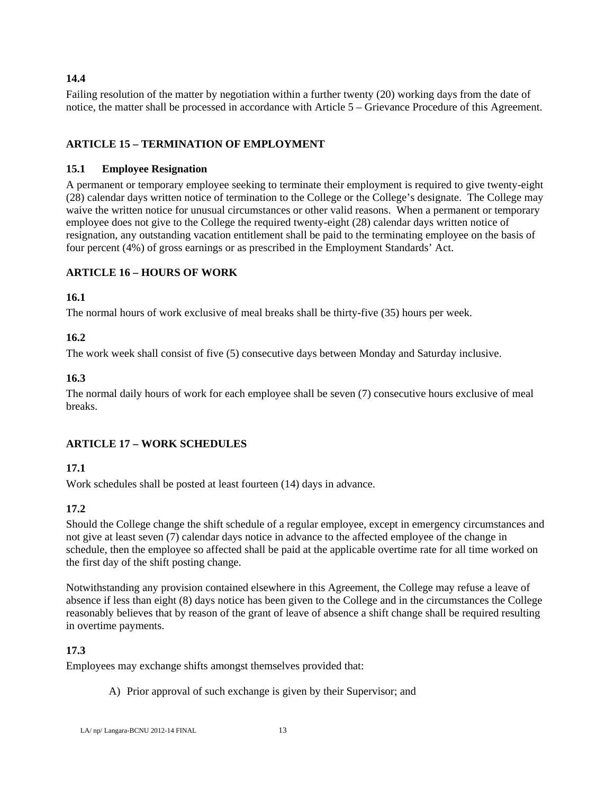## **14.4**

Failing resolution of the matter by negotiation within a further twenty (20) working days from the date of notice, the matter shall be processed in accordance with Article 5 – Grievance Procedure of this Agreement.

## **ARTICLE 15 – TERMINATION OF EMPLOYMENT**

#### **15.1 Employee Resignation**

A permanent or temporary employee seeking to terminate their employment is required to give twenty-eight (28) calendar days written notice of termination to the College or the College's designate. The College may waive the written notice for unusual circumstances or other valid reasons. When a permanent or temporary employee does not give to the College the required twenty-eight (28) calendar days written notice of resignation, any outstanding vacation entitlement shall be paid to the terminating employee on the basis of four percent (4%) of gross earnings or as prescribed in the Employment Standards' Act.

## **ARTICLE 16 – HOURS OF WORK**

### **16.1**

The normal hours of work exclusive of meal breaks shall be thirty-five (35) hours per week.

## **16.2**

The work week shall consist of five (5) consecutive days between Monday and Saturday inclusive.

## **16.3**

The normal daily hours of work for each employee shall be seven (7) consecutive hours exclusive of meal breaks.

## **ARTICLE 17 – WORK SCHEDULES**

## **17.1**

Work schedules shall be posted at least fourteen (14) days in advance.

## **17.2**

Should the College change the shift schedule of a regular employee, except in emergency circumstances and not give at least seven (7) calendar days notice in advance to the affected employee of the change in schedule, then the employee so affected shall be paid at the applicable overtime rate for all time worked on the first day of the shift posting change.

Notwithstanding any provision contained elsewhere in this Agreement, the College may refuse a leave of absence if less than eight (8) days notice has been given to the College and in the circumstances the College reasonably believes that by reason of the grant of leave of absence a shift change shall be required resulting in overtime payments.

## **17.3**

Employees may exchange shifts amongst themselves provided that:

A) Prior approval of such exchange is given by their Supervisor; and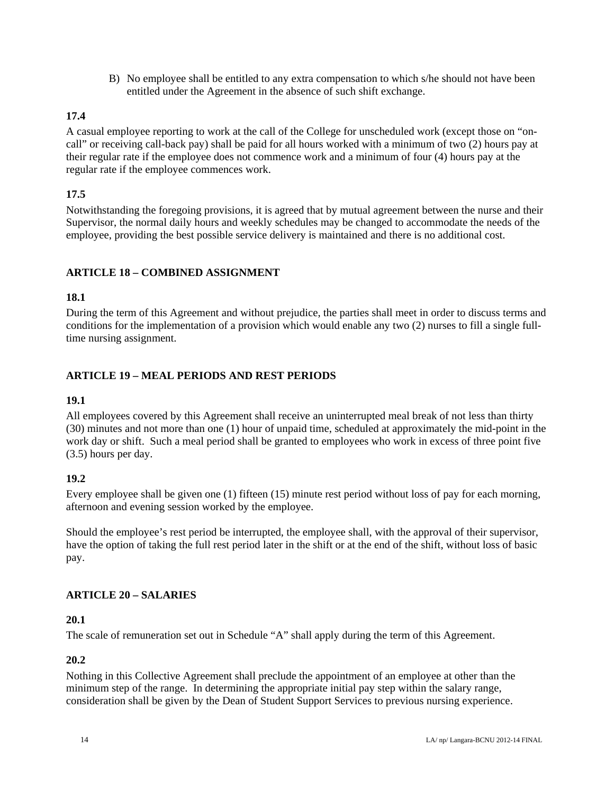B) No employee shall be entitled to any extra compensation to which s/he should not have been entitled under the Agreement in the absence of such shift exchange.

## **17.4**

A casual employee reporting to work at the call of the College for unscheduled work (except those on "oncall" or receiving call-back pay) shall be paid for all hours worked with a minimum of two (2) hours pay at their regular rate if the employee does not commence work and a minimum of four (4) hours pay at the regular rate if the employee commences work.

## **17.5**

Notwithstanding the foregoing provisions, it is agreed that by mutual agreement between the nurse and their Supervisor, the normal daily hours and weekly schedules may be changed to accommodate the needs of the employee, providing the best possible service delivery is maintained and there is no additional cost.

## **ARTICLE 18 – COMBINED ASSIGNMENT**

## **18.1**

During the term of this Agreement and without prejudice, the parties shall meet in order to discuss terms and conditions for the implementation of a provision which would enable any two (2) nurses to fill a single fulltime nursing assignment.

### **ARTICLE 19 – MEAL PERIODS AND REST PERIODS**

#### **19.1**

All employees covered by this Agreement shall receive an uninterrupted meal break of not less than thirty (30) minutes and not more than one (1) hour of unpaid time, scheduled at approximately the mid-point in the work day or shift. Such a meal period shall be granted to employees who work in excess of three point five (3.5) hours per day.

## **19.2**

Every employee shall be given one (1) fifteen (15) minute rest period without loss of pay for each morning, afternoon and evening session worked by the employee.

Should the employee's rest period be interrupted, the employee shall, with the approval of their supervisor, have the option of taking the full rest period later in the shift or at the end of the shift, without loss of basic pay.

## **ARTICLE 20 – SALARIES**

#### **20.1**

The scale of remuneration set out in Schedule "A" shall apply during the term of this Agreement.

## **20.2**

Nothing in this Collective Agreement shall preclude the appointment of an employee at other than the minimum step of the range. In determining the appropriate initial pay step within the salary range, consideration shall be given by the Dean of Student Support Services to previous nursing experience.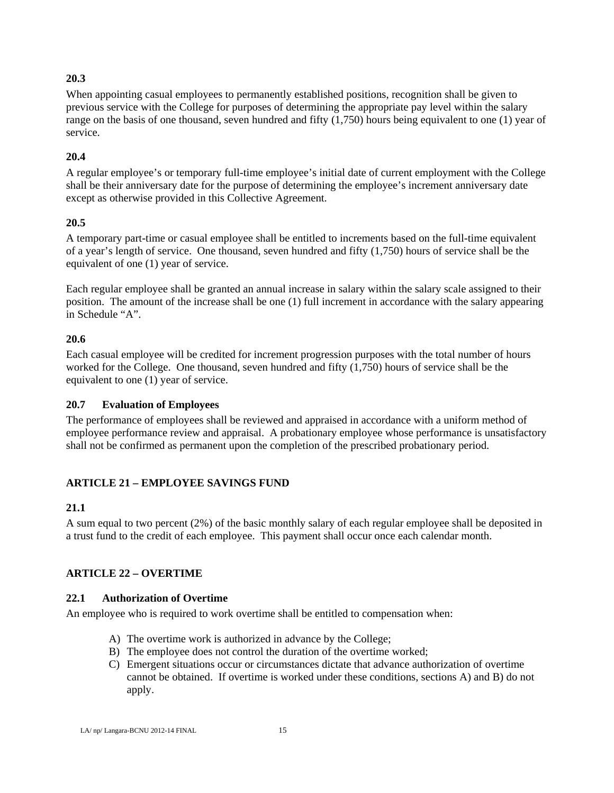## **20.3**

When appointing casual employees to permanently established positions, recognition shall be given to previous service with the College for purposes of determining the appropriate pay level within the salary range on the basis of one thousand, seven hundred and fifty (1,750) hours being equivalent to one (1) year of service.

## **20.4**

A regular employee's or temporary full-time employee's initial date of current employment with the College shall be their anniversary date for the purpose of determining the employee's increment anniversary date except as otherwise provided in this Collective Agreement.

### **20.5**

A temporary part-time or casual employee shall be entitled to increments based on the full-time equivalent of a year's length of service. One thousand, seven hundred and fifty (1,750) hours of service shall be the equivalent of one (1) year of service.

Each regular employee shall be granted an annual increase in salary within the salary scale assigned to their position. The amount of the increase shall be one (1) full increment in accordance with the salary appearing in Schedule "A".

### **20.6**

Each casual employee will be credited for increment progression purposes with the total number of hours worked for the College. One thousand, seven hundred and fifty (1,750) hours of service shall be the equivalent to one (1) year of service.

## **20.7 Evaluation of Employees**

The performance of employees shall be reviewed and appraised in accordance with a uniform method of employee performance review and appraisal. A probationary employee whose performance is unsatisfactory shall not be confirmed as permanent upon the completion of the prescribed probationary period.

## **ARTICLE 21 – EMPLOYEE SAVINGS FUND**

#### **21.1**

A sum equal to two percent (2%) of the basic monthly salary of each regular employee shall be deposited in a trust fund to the credit of each employee. This payment shall occur once each calendar month.

## **ARTICLE 22 – OVERTIME**

#### **22.1 Authorization of Overtime**

An employee who is required to work overtime shall be entitled to compensation when:

- A) The overtime work is authorized in advance by the College;
- B) The employee does not control the duration of the overtime worked;
- C) Emergent situations occur or circumstances dictate that advance authorization of overtime cannot be obtained. If overtime is worked under these conditions, sections A) and B) do not apply.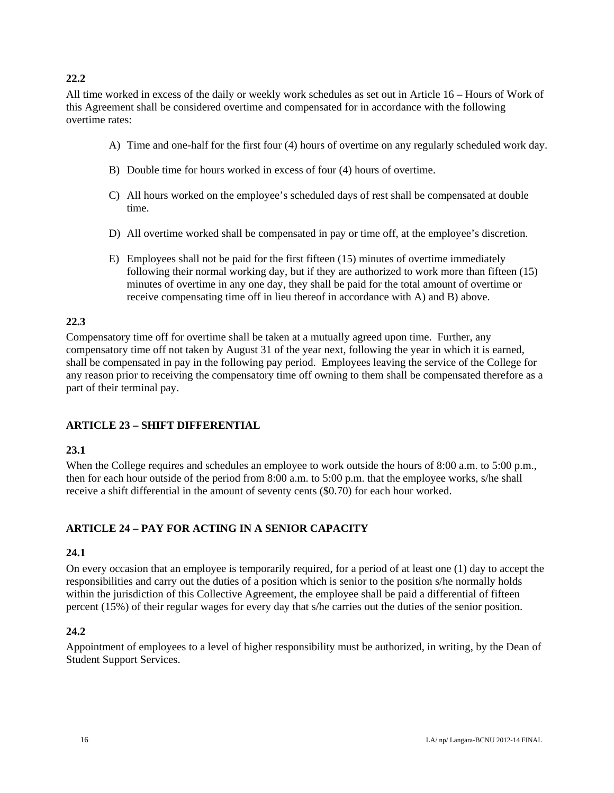## **22.2**

All time worked in excess of the daily or weekly work schedules as set out in Article 16 – Hours of Work of this Agreement shall be considered overtime and compensated for in accordance with the following overtime rates:

- A) Time and one-half for the first four (4) hours of overtime on any regularly scheduled work day.
- B) Double time for hours worked in excess of four (4) hours of overtime.
- C) All hours worked on the employee's scheduled days of rest shall be compensated at double time.
- D) All overtime worked shall be compensated in pay or time off, at the employee's discretion.
- E) Employees shall not be paid for the first fifteen (15) minutes of overtime immediately following their normal working day, but if they are authorized to work more than fifteen (15) minutes of overtime in any one day, they shall be paid for the total amount of overtime or receive compensating time off in lieu thereof in accordance with A) and B) above.

#### **22.3**

Compensatory time off for overtime shall be taken at a mutually agreed upon time. Further, any compensatory time off not taken by August 31 of the year next, following the year in which it is earned, shall be compensated in pay in the following pay period. Employees leaving the service of the College for any reason prior to receiving the compensatory time off owning to them shall be compensated therefore as a part of their terminal pay.

#### **ARTICLE 23 – SHIFT DIFFERENTIAL**

#### **23.1**

When the College requires and schedules an employee to work outside the hours of 8:00 a.m. to 5:00 p.m., then for each hour outside of the period from 8:00 a.m. to 5:00 p.m. that the employee works, s/he shall receive a shift differential in the amount of seventy cents (\$0.70) for each hour worked.

#### **ARTICLE 24 – PAY FOR ACTING IN A SENIOR CAPACITY**

#### **24.1**

On every occasion that an employee is temporarily required, for a period of at least one (1) day to accept the responsibilities and carry out the duties of a position which is senior to the position s/he normally holds within the jurisdiction of this Collective Agreement, the employee shall be paid a differential of fifteen percent (15%) of their regular wages for every day that s/he carries out the duties of the senior position.

#### **24.2**

Appointment of employees to a level of higher responsibility must be authorized, in writing, by the Dean of Student Support Services.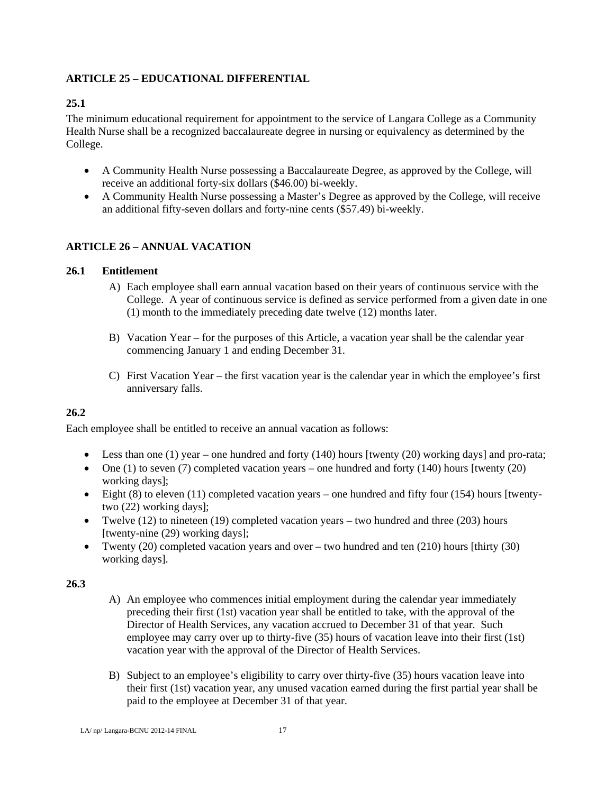## **ARTICLE 25 – EDUCATIONAL DIFFERENTIAL**

## **25.1**

The minimum educational requirement for appointment to the service of Langara College as a Community Health Nurse shall be a recognized baccalaureate degree in nursing or equivalency as determined by the College.

- A Community Health Nurse possessing a Baccalaureate Degree, as approved by the College, will receive an additional forty-six dollars (\$46.00) bi-weekly.
- A Community Health Nurse possessing a Master's Degree as approved by the College, will receive an additional fifty-seven dollars and forty-nine cents (\$57.49) bi-weekly.

## **ARTICLE 26 – ANNUAL VACATION**

### **26.1 Entitlement**

- A) Each employee shall earn annual vacation based on their years of continuous service with the College. A year of continuous service is defined as service performed from a given date in one (1) month to the immediately preceding date twelve (12) months later.
- B) Vacation Year for the purposes of this Article, a vacation year shall be the calendar year commencing January 1 and ending December 31.
- C) First Vacation Year the first vacation year is the calendar year in which the employee's first anniversary falls.

## **26.2**

Each employee shall be entitled to receive an annual vacation as follows:

- Eess than one (1) year one hundred and forty (140) hours [twenty (20) working days] and pro-rata;
- $\bullet$  One (1) to seven (7) completed vacation years one hundred and forty (140) hours [twenty (20) working days];
- $\bullet$  Eight (8) to eleven (11) completed vacation years one hundred and fifty four (154) hours [twentytwo (22) working days];
- Twelve  $(12)$  to nineteen  $(19)$  completed vacation years two hundred and three  $(203)$  hours [twenty-nine (29) working days];
- Twenty (20) completed vacation years and over two hundred and ten (210) hours [thirty (30) working days].

## **26.3**

- A) An employee who commences initial employment during the calendar year immediately preceding their first (1st) vacation year shall be entitled to take, with the approval of the Director of Health Services, any vacation accrued to December 31 of that year. Such employee may carry over up to thirty-five (35) hours of vacation leave into their first (1st) vacation year with the approval of the Director of Health Services.
- B) Subject to an employee's eligibility to carry over thirty-five (35) hours vacation leave into their first (1st) vacation year, any unused vacation earned during the first partial year shall be paid to the employee at December 31 of that year.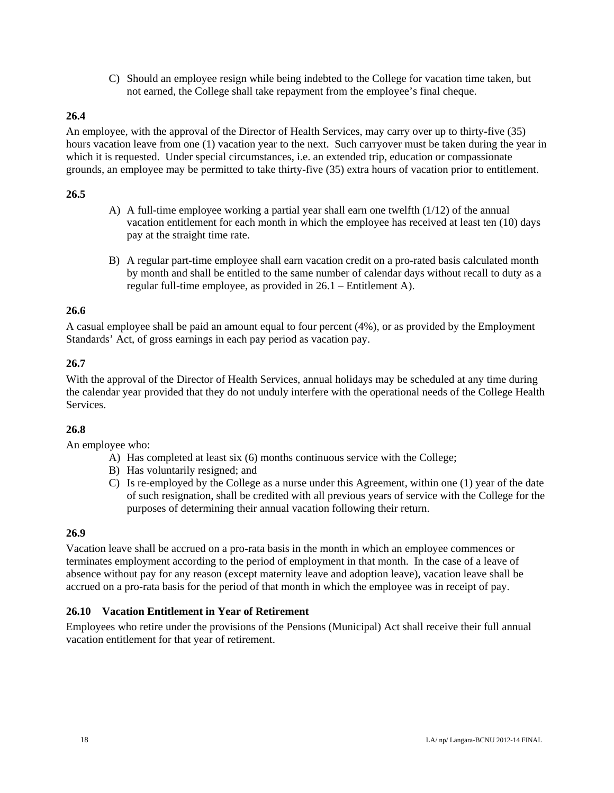C) Should an employee resign while being indebted to the College for vacation time taken, but not earned, the College shall take repayment from the employee's final cheque.

## **26.4**

An employee, with the approval of the Director of Health Services, may carry over up to thirty-five (35) hours vacation leave from one (1) vacation year to the next. Such carryover must be taken during the year in which it is requested. Under special circumstances, i.e. an extended trip, education or compassionate grounds, an employee may be permitted to take thirty-five (35) extra hours of vacation prior to entitlement.

#### **26.5**

- A) A full-time employee working a partial year shall earn one twelfth (1/12) of the annual vacation entitlement for each month in which the employee has received at least ten (10) days pay at the straight time rate.
- B) A regular part-time employee shall earn vacation credit on a pro-rated basis calculated month by month and shall be entitled to the same number of calendar days without recall to duty as a regular full-time employee, as provided in 26.1 – Entitlement A).

### **26.6**

A casual employee shall be paid an amount equal to four percent (4%), or as provided by the Employment Standards' Act, of gross earnings in each pay period as vacation pay.

## **26.7**

With the approval of the Director of Health Services, annual holidays may be scheduled at any time during the calendar year provided that they do not unduly interfere with the operational needs of the College Health Services.

## **26.8**

An employee who:

- A) Has completed at least six (6) months continuous service with the College;
- B) Has voluntarily resigned; and
- C) Is re-employed by the College as a nurse under this Agreement, within one (1) year of the date of such resignation, shall be credited with all previous years of service with the College for the purposes of determining their annual vacation following their return.

#### **26.9**

Vacation leave shall be accrued on a pro-rata basis in the month in which an employee commences or terminates employment according to the period of employment in that month. In the case of a leave of absence without pay for any reason (except maternity leave and adoption leave), vacation leave shall be accrued on a pro-rata basis for the period of that month in which the employee was in receipt of pay.

#### **26.10 Vacation Entitlement in Year of Retirement**

Employees who retire under the provisions of the Pensions (Municipal) Act shall receive their full annual vacation entitlement for that year of retirement.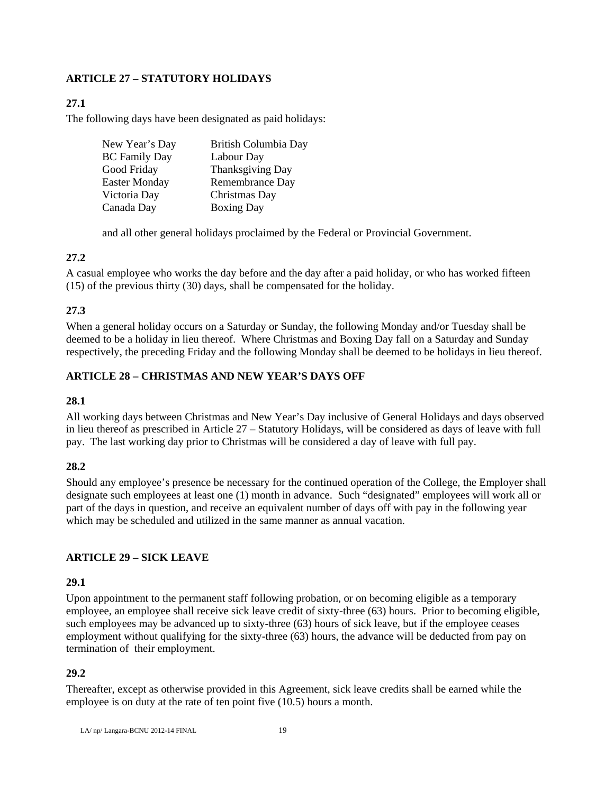## **ARTICLE 27 – STATUTORY HOLIDAYS**

## **27.1**

The following days have been designated as paid holidays:

| New Year's Day       | British Columbia Day |
|----------------------|----------------------|
| <b>BC</b> Family Day | Labour Day           |
| Good Friday          | Thanksgiving Day     |
| Easter Monday        | Remembrance Day      |
| Victoria Day         | Christmas Day        |
| Canada Day           | <b>Boxing Day</b>    |

and all other general holidays proclaimed by the Federal or Provincial Government.

### **27.2**

A casual employee who works the day before and the day after a paid holiday, or who has worked fifteen (15) of the previous thirty (30) days, shall be compensated for the holiday.

## **27.3**

When a general holiday occurs on a Saturday or Sunday, the following Monday and/or Tuesday shall be deemed to be a holiday in lieu thereof. Where Christmas and Boxing Day fall on a Saturday and Sunday respectively, the preceding Friday and the following Monday shall be deemed to be holidays in lieu thereof.

### **ARTICLE 28 – CHRISTMAS AND NEW YEAR'S DAYS OFF**

#### **28.1**

All working days between Christmas and New Year's Day inclusive of General Holidays and days observed in lieu thereof as prescribed in Article 27 – Statutory Holidays, will be considered as days of leave with full pay. The last working day prior to Christmas will be considered a day of leave with full pay.

#### **28.2**

Should any employee's presence be necessary for the continued operation of the College, the Employer shall designate such employees at least one (1) month in advance. Such "designated" employees will work all or part of the days in question, and receive an equivalent number of days off with pay in the following year which may be scheduled and utilized in the same manner as annual vacation.

## **ARTICLE 29 – SICK LEAVE**

## **29.1**

Upon appointment to the permanent staff following probation, or on becoming eligible as a temporary employee, an employee shall receive sick leave credit of sixty-three (63) hours. Prior to becoming eligible, such employees may be advanced up to sixty-three (63) hours of sick leave, but if the employee ceases employment without qualifying for the sixty-three (63) hours, the advance will be deducted from pay on termination of their employment.

## **29.2**

Thereafter, except as otherwise provided in this Agreement, sick leave credits shall be earned while the employee is on duty at the rate of ten point five (10.5) hours a month.

LA/ $nn/Lapqara-BCNU 2012-14 FINAL$  19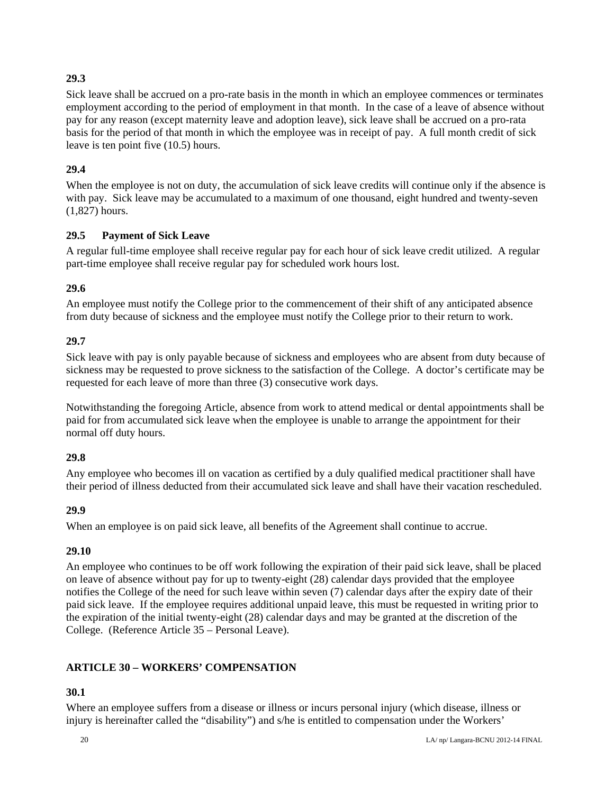## **29.3**

Sick leave shall be accrued on a pro-rate basis in the month in which an employee commences or terminates employment according to the period of employment in that month. In the case of a leave of absence without pay for any reason (except maternity leave and adoption leave), sick leave shall be accrued on a pro-rata basis for the period of that month in which the employee was in receipt of pay. A full month credit of sick leave is ten point five (10.5) hours.

## **29.4**

When the employee is not on duty, the accumulation of sick leave credits will continue only if the absence is with pay. Sick leave may be accumulated to a maximum of one thousand, eight hundred and twenty-seven (1,827) hours.

## **29.5 Payment of Sick Leave**

A regular full-time employee shall receive regular pay for each hour of sick leave credit utilized. A regular part-time employee shall receive regular pay for scheduled work hours lost.

## **29.6**

An employee must notify the College prior to the commencement of their shift of any anticipated absence from duty because of sickness and the employee must notify the College prior to their return to work.

### **29.7**

Sick leave with pay is only payable because of sickness and employees who are absent from duty because of sickness may be requested to prove sickness to the satisfaction of the College. A doctor's certificate may be requested for each leave of more than three (3) consecutive work days.

Notwithstanding the foregoing Article, absence from work to attend medical or dental appointments shall be paid for from accumulated sick leave when the employee is unable to arrange the appointment for their normal off duty hours.

## **29.8**

Any employee who becomes ill on vacation as certified by a duly qualified medical practitioner shall have their period of illness deducted from their accumulated sick leave and shall have their vacation rescheduled.

## **29.9**

When an employee is on paid sick leave, all benefits of the Agreement shall continue to accrue.

## **29.10**

An employee who continues to be off work following the expiration of their paid sick leave, shall be placed on leave of absence without pay for up to twenty-eight (28) calendar days provided that the employee notifies the College of the need for such leave within seven (7) calendar days after the expiry date of their paid sick leave. If the employee requires additional unpaid leave, this must be requested in writing prior to the expiration of the initial twenty-eight (28) calendar days and may be granted at the discretion of the College. (Reference Article 35 – Personal Leave).

## **ARTICLE 30 – WORKERS' COMPENSATION**

## **30.1**

Where an employee suffers from a disease or illness or incurs personal injury (which disease, illness or injury is hereinafter called the "disability") and s/he is entitled to compensation under the Workers'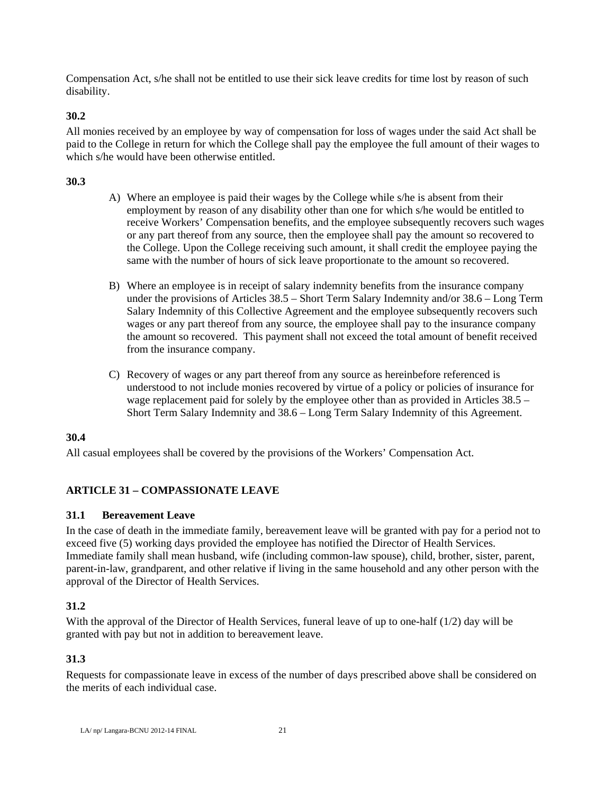Compensation Act, s/he shall not be entitled to use their sick leave credits for time lost by reason of such disability.

## **30.2**

All monies received by an employee by way of compensation for loss of wages under the said Act shall be paid to the College in return for which the College shall pay the employee the full amount of their wages to which s/he would have been otherwise entitled.

## **30.3**

- A) Where an employee is paid their wages by the College while s/he is absent from their employment by reason of any disability other than one for which s/he would be entitled to receive Workers' Compensation benefits, and the employee subsequently recovers such wages or any part thereof from any source, then the employee shall pay the amount so recovered to the College. Upon the College receiving such amount, it shall credit the employee paying the same with the number of hours of sick leave proportionate to the amount so recovered.
- B) Where an employee is in receipt of salary indemnity benefits from the insurance company under the provisions of Articles 38.5 – Short Term Salary Indemnity and/or 38.6 – Long Term Salary Indemnity of this Collective Agreement and the employee subsequently recovers such wages or any part thereof from any source, the employee shall pay to the insurance company the amount so recovered. This payment shall not exceed the total amount of benefit received from the insurance company.
- C) Recovery of wages or any part thereof from any source as hereinbefore referenced is understood to not include monies recovered by virtue of a policy or policies of insurance for wage replacement paid for solely by the employee other than as provided in Articles 38.5 – Short Term Salary Indemnity and 38.6 – Long Term Salary Indemnity of this Agreement.

## **30.4**

All casual employees shall be covered by the provisions of the Workers' Compensation Act.

## **ARTICLE 31 – COMPASSIONATE LEAVE**

## **31.1 Bereavement Leave**

In the case of death in the immediate family, bereavement leave will be granted with pay for a period not to exceed five (5) working days provided the employee has notified the Director of Health Services. Immediate family shall mean husband, wife (including common-law spouse), child, brother, sister, parent, parent-in-law, grandparent, and other relative if living in the same household and any other person with the approval of the Director of Health Services.

## **31.2**

With the approval of the Director of Health Services, funeral leave of up to one-half (1/2) day will be granted with pay but not in addition to bereavement leave.

## **31.3**

Requests for compassionate leave in excess of the number of days prescribed above shall be considered on the merits of each individual case.

LA/ np/ Langara-BCNU 2012-14 FINAL 21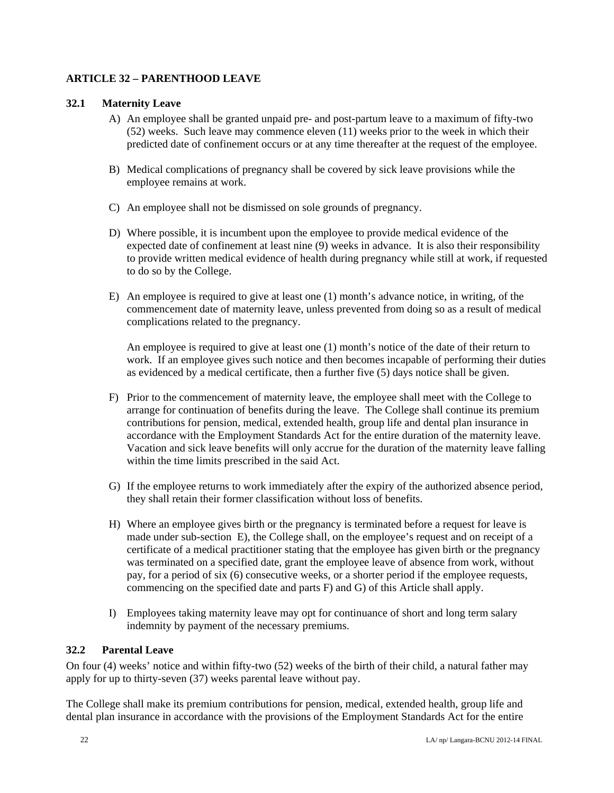## **ARTICLE 32 – PARENTHOOD LEAVE**

#### **32.1 Maternity Leave**

- A) An employee shall be granted unpaid pre- and post-partum leave to a maximum of fifty-two (52) weeks. Such leave may commence eleven (11) weeks prior to the week in which their predicted date of confinement occurs or at any time thereafter at the request of the employee.
- B) Medical complications of pregnancy shall be covered by sick leave provisions while the employee remains at work.
- C) An employee shall not be dismissed on sole grounds of pregnancy.
- D) Where possible, it is incumbent upon the employee to provide medical evidence of the expected date of confinement at least nine (9) weeks in advance. It is also their responsibility to provide written medical evidence of health during pregnancy while still at work, if requested to do so by the College.
- E) An employee is required to give at least one (1) month's advance notice, in writing, of the commencement date of maternity leave, unless prevented from doing so as a result of medical complications related to the pregnancy.

An employee is required to give at least one (1) month's notice of the date of their return to work. If an employee gives such notice and then becomes incapable of performing their duties as evidenced by a medical certificate, then a further five (5) days notice shall be given.

- F) Prior to the commencement of maternity leave, the employee shall meet with the College to arrange for continuation of benefits during the leave. The College shall continue its premium contributions for pension, medical, extended health, group life and dental plan insurance in accordance with the Employment Standards Act for the entire duration of the maternity leave. Vacation and sick leave benefits will only accrue for the duration of the maternity leave falling within the time limits prescribed in the said Act.
- G) If the employee returns to work immediately after the expiry of the authorized absence period, they shall retain their former classification without loss of benefits.
- H) Where an employee gives birth or the pregnancy is terminated before a request for leave is made under sub-section E), the College shall, on the employee's request and on receipt of a certificate of a medical practitioner stating that the employee has given birth or the pregnancy was terminated on a specified date, grant the employee leave of absence from work, without pay, for a period of six (6) consecutive weeks, or a shorter period if the employee requests, commencing on the specified date and parts F) and G) of this Article shall apply.
- I) Employees taking maternity leave may opt for continuance of short and long term salary indemnity by payment of the necessary premiums.

#### **32.2 Parental Leave**

On four (4) weeks' notice and within fifty-two (52) weeks of the birth of their child, a natural father may apply for up to thirty-seven (37) weeks parental leave without pay.

The College shall make its premium contributions for pension, medical, extended health, group life and dental plan insurance in accordance with the provisions of the Employment Standards Act for the entire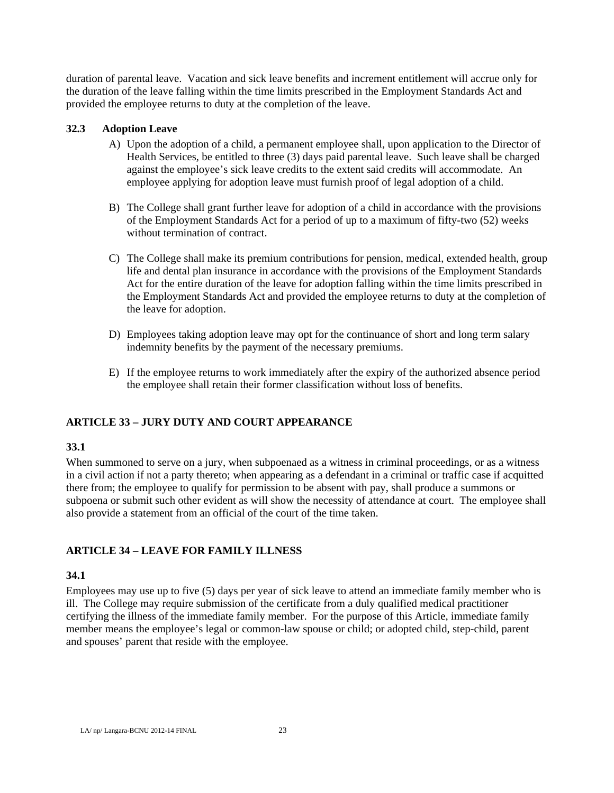duration of parental leave. Vacation and sick leave benefits and increment entitlement will accrue only for the duration of the leave falling within the time limits prescribed in the Employment Standards Act and provided the employee returns to duty at the completion of the leave.

#### **32.3 Adoption Leave**

- A) Upon the adoption of a child, a permanent employee shall, upon application to the Director of Health Services, be entitled to three (3) days paid parental leave. Such leave shall be charged against the employee's sick leave credits to the extent said credits will accommodate. An employee applying for adoption leave must furnish proof of legal adoption of a child.
- B) The College shall grant further leave for adoption of a child in accordance with the provisions of the Employment Standards Act for a period of up to a maximum of fifty-two (52) weeks without termination of contract.
- C) The College shall make its premium contributions for pension, medical, extended health, group life and dental plan insurance in accordance with the provisions of the Employment Standards Act for the entire duration of the leave for adoption falling within the time limits prescribed in the Employment Standards Act and provided the employee returns to duty at the completion of the leave for adoption.
- D) Employees taking adoption leave may opt for the continuance of short and long term salary indemnity benefits by the payment of the necessary premiums.
- E) If the employee returns to work immediately after the expiry of the authorized absence period the employee shall retain their former classification without loss of benefits.

## **ARTICLE 33 – JURY DUTY AND COURT APPEARANCE**

#### **33.1**

When summoned to serve on a jury, when subpoenaed as a witness in criminal proceedings, or as a witness in a civil action if not a party thereto; when appearing as a defendant in a criminal or traffic case if acquitted there from; the employee to qualify for permission to be absent with pay, shall produce a summons or subpoena or submit such other evident as will show the necessity of attendance at court. The employee shall also provide a statement from an official of the court of the time taken.

## **ARTICLE 34 – LEAVE FOR FAMILY ILLNESS**

#### **34.1**

Employees may use up to five (5) days per year of sick leave to attend an immediate family member who is ill. The College may require submission of the certificate from a duly qualified medical practitioner certifying the illness of the immediate family member. For the purpose of this Article, immediate family member means the employee's legal or common-law spouse or child; or adopted child, step-child, parent and spouses' parent that reside with the employee.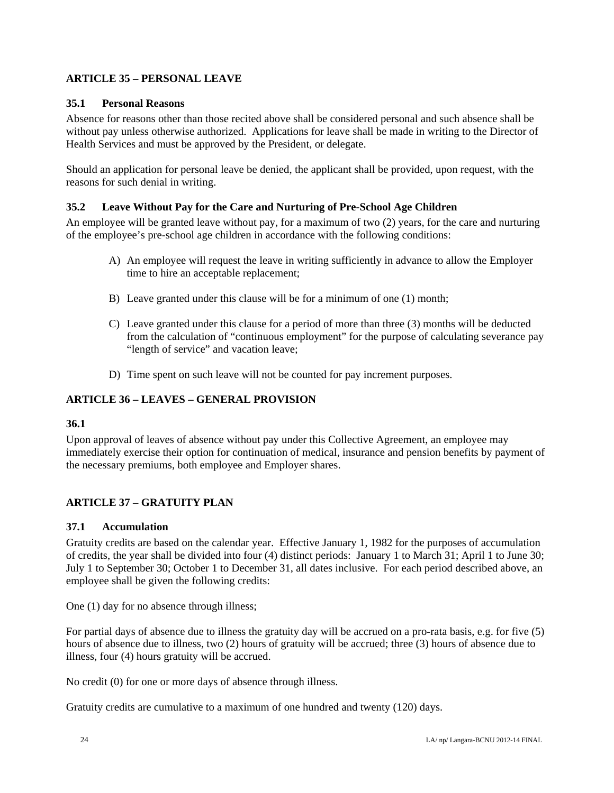## **ARTICLE 35 – PERSONAL LEAVE**

#### **35.1 Personal Reasons**

Absence for reasons other than those recited above shall be considered personal and such absence shall be without pay unless otherwise authorized. Applications for leave shall be made in writing to the Director of Health Services and must be approved by the President, or delegate.

Should an application for personal leave be denied, the applicant shall be provided, upon request, with the reasons for such denial in writing.

#### **35.2 Leave Without Pay for the Care and Nurturing of Pre-School Age Children**

An employee will be granted leave without pay, for a maximum of two (2) years, for the care and nurturing of the employee's pre-school age children in accordance with the following conditions:

- A) An employee will request the leave in writing sufficiently in advance to allow the Employer time to hire an acceptable replacement;
- B) Leave granted under this clause will be for a minimum of one (1) month;
- C) Leave granted under this clause for a period of more than three (3) months will be deducted from the calculation of "continuous employment" for the purpose of calculating severance pay "length of service" and vacation leave;
- D) Time spent on such leave will not be counted for pay increment purposes.

#### **ARTICLE 36 – LEAVES – GENERAL PROVISION**

#### **36.1**

Upon approval of leaves of absence without pay under this Collective Agreement, an employee may immediately exercise their option for continuation of medical, insurance and pension benefits by payment of the necessary premiums, both employee and Employer shares.

## **ARTICLE 37 – GRATUITY PLAN**

#### **37.1 Accumulation**

Gratuity credits are based on the calendar year. Effective January 1, 1982 for the purposes of accumulation of credits, the year shall be divided into four (4) distinct periods: January 1 to March 31; April 1 to June 30; July 1 to September 30; October 1 to December 31, all dates inclusive. For each period described above, an employee shall be given the following credits:

One (1) day for no absence through illness;

For partial days of absence due to illness the gratuity day will be accrued on a pro-rata basis, e.g. for five (5) hours of absence due to illness, two (2) hours of gratuity will be accrued; three (3) hours of absence due to illness, four (4) hours gratuity will be accrued.

No credit (0) for one or more days of absence through illness.

Gratuity credits are cumulative to a maximum of one hundred and twenty (120) days.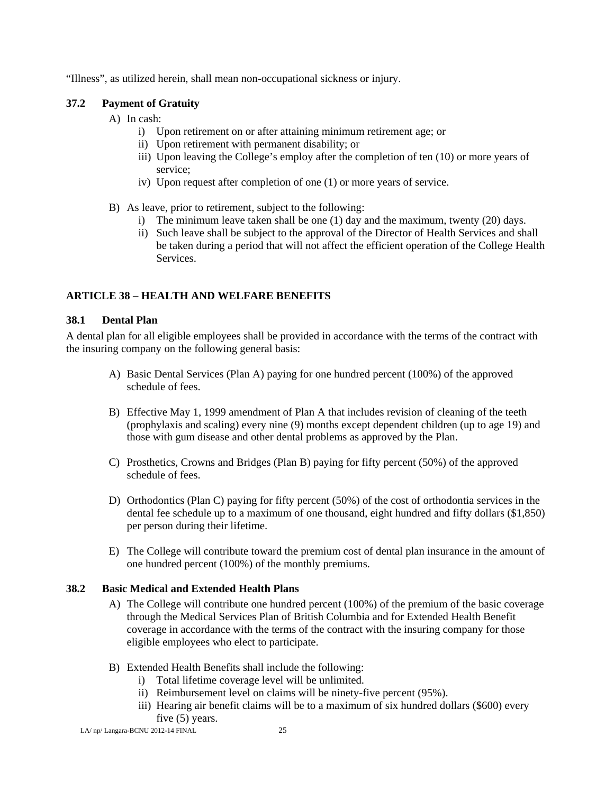"Illness", as utilized herein, shall mean non-occupational sickness or injury.

#### **37.2 Payment of Gratuity**

- A) In cash:
	- i) Upon retirement on or after attaining minimum retirement age; or
	- ii) Upon retirement with permanent disability; or
	- iii) Upon leaving the College's employ after the completion of ten (10) or more years of service;
	- iv) Upon request after completion of one (1) or more years of service.
- B) As leave, prior to retirement, subject to the following:
	- i) The minimum leave taken shall be one (1) day and the maximum, twenty (20) days.
	- ii) Such leave shall be subject to the approval of the Director of Health Services and shall be taken during a period that will not affect the efficient operation of the College Health Services.

## **ARTICLE 38 – HEALTH AND WELFARE BENEFITS**

#### **38.1 Dental Plan**

A dental plan for all eligible employees shall be provided in accordance with the terms of the contract with the insuring company on the following general basis:

- A) Basic Dental Services (Plan A) paying for one hundred percent (100%) of the approved schedule of fees.
- B) Effective May 1, 1999 amendment of Plan A that includes revision of cleaning of the teeth (prophylaxis and scaling) every nine (9) months except dependent children (up to age 19) and those with gum disease and other dental problems as approved by the Plan.
- C) Prosthetics, Crowns and Bridges (Plan B) paying for fifty percent (50%) of the approved schedule of fees.
- D) Orthodontics (Plan C) paying for fifty percent (50%) of the cost of orthodontia services in the dental fee schedule up to a maximum of one thousand, eight hundred and fifty dollars (\$1,850) per person during their lifetime.
- E) The College will contribute toward the premium cost of dental plan insurance in the amount of one hundred percent (100%) of the monthly premiums.

### **38.2 Basic Medical and Extended Health Plans**

- A) The College will contribute one hundred percent (100%) of the premium of the basic coverage through the Medical Services Plan of British Columbia and for Extended Health Benefit coverage in accordance with the terms of the contract with the insuring company for those eligible employees who elect to participate.
- B) Extended Health Benefits shall include the following:
	- i) Total lifetime coverage level will be unlimited.
	- ii) Reimbursement level on claims will be ninety-five percent (95%).
	- iii) Hearing air benefit claims will be to a maximum of six hundred dollars (\$600) every five (5) years.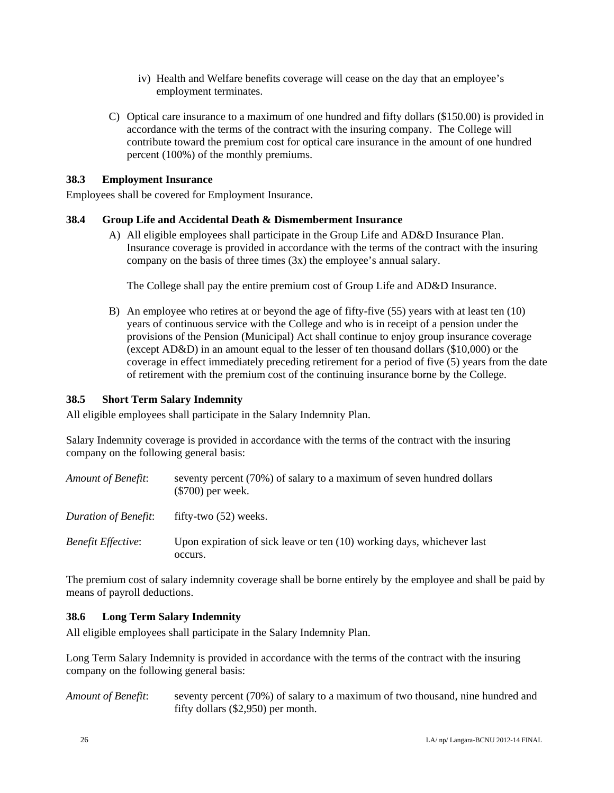- iv) Health and Welfare benefits coverage will cease on the day that an employee's employment terminates.
- C) Optical care insurance to a maximum of one hundred and fifty dollars (\$150.00) is provided in accordance with the terms of the contract with the insuring company. The College will contribute toward the premium cost for optical care insurance in the amount of one hundred percent (100%) of the monthly premiums.

#### **38.3 Employment Insurance**

Employees shall be covered for Employment Insurance.

### **38.4 Group Life and Accidental Death & Dismemberment Insurance**

A) All eligible employees shall participate in the Group Life and AD&D Insurance Plan. Insurance coverage is provided in accordance with the terms of the contract with the insuring company on the basis of three times (3x) the employee's annual salary.

The College shall pay the entire premium cost of Group Life and AD&D Insurance.

B) An employee who retires at or beyond the age of fifty-five (55) years with at least ten (10) years of continuous service with the College and who is in receipt of a pension under the provisions of the Pension (Municipal) Act shall continue to enjoy group insurance coverage (except AD&D) in an amount equal to the lesser of ten thousand dollars (\$10,000) or the coverage in effect immediately preceding retirement for a period of five (5) years from the date of retirement with the premium cost of the continuing insurance borne by the College.

#### **38.5 Short Term Salary Indemnity**

All eligible employees shall participate in the Salary Indemnity Plan.

Salary Indemnity coverage is provided in accordance with the terms of the contract with the insuring company on the following general basis:

| Amount of Benefit:        | seventy percent (70%) of salary to a maximum of seven hundred dollars<br>$(\$700)$ per week. |
|---------------------------|----------------------------------------------------------------------------------------------|
| Duration of Benefit:      | fifty-two $(52)$ weeks.                                                                      |
| <b>Benefit Effective:</b> | Upon expiration of sick leave or ten (10) working days, whichever last<br>occurs.            |

The premium cost of salary indemnity coverage shall be borne entirely by the employee and shall be paid by means of payroll deductions.

## **38.6 Long Term Salary Indemnity**

All eligible employees shall participate in the Salary Indemnity Plan.

Long Term Salary Indemnity is provided in accordance with the terms of the contract with the insuring company on the following general basis:

*Amount of Benefit*: seventy percent (70%) of salary to a maximum of two thousand, nine hundred and fifty dollars (\$2,950) per month.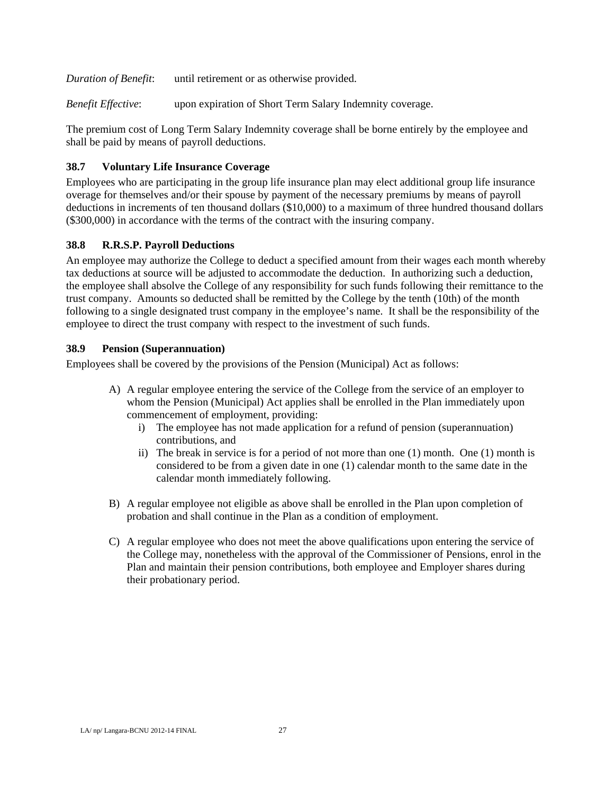*Duration of Benefit*: until retirement or as otherwise provided.

*Benefit Effective*: upon expiration of Short Term Salary Indemnity coverage.

The premium cost of Long Term Salary Indemnity coverage shall be borne entirely by the employee and shall be paid by means of payroll deductions.

### **38.7 Voluntary Life Insurance Coverage**

Employees who are participating in the group life insurance plan may elect additional group life insurance overage for themselves and/or their spouse by payment of the necessary premiums by means of payroll deductions in increments of ten thousand dollars (\$10,000) to a maximum of three hundred thousand dollars (\$300,000) in accordance with the terms of the contract with the insuring company.

### **38.8 R.R.S.P. Payroll Deductions**

An employee may authorize the College to deduct a specified amount from their wages each month whereby tax deductions at source will be adjusted to accommodate the deduction. In authorizing such a deduction, the employee shall absolve the College of any responsibility for such funds following their remittance to the trust company. Amounts so deducted shall be remitted by the College by the tenth (10th) of the month following to a single designated trust company in the employee's name. It shall be the responsibility of the employee to direct the trust company with respect to the investment of such funds.

#### **38.9 Pension (Superannuation)**

Employees shall be covered by the provisions of the Pension (Municipal) Act as follows:

- A) A regular employee entering the service of the College from the service of an employer to whom the Pension (Municipal) Act applies shall be enrolled in the Plan immediately upon commencement of employment, providing:
	- i) The employee has not made application for a refund of pension (superannuation) contributions, and
	- ii) The break in service is for a period of not more than one (1) month. One (1) month is considered to be from a given date in one (1) calendar month to the same date in the calendar month immediately following.
- B) A regular employee not eligible as above shall be enrolled in the Plan upon completion of probation and shall continue in the Plan as a condition of employment.
- C) A regular employee who does not meet the above qualifications upon entering the service of the College may, nonetheless with the approval of the Commissioner of Pensions, enrol in the Plan and maintain their pension contributions, both employee and Employer shares during their probationary period.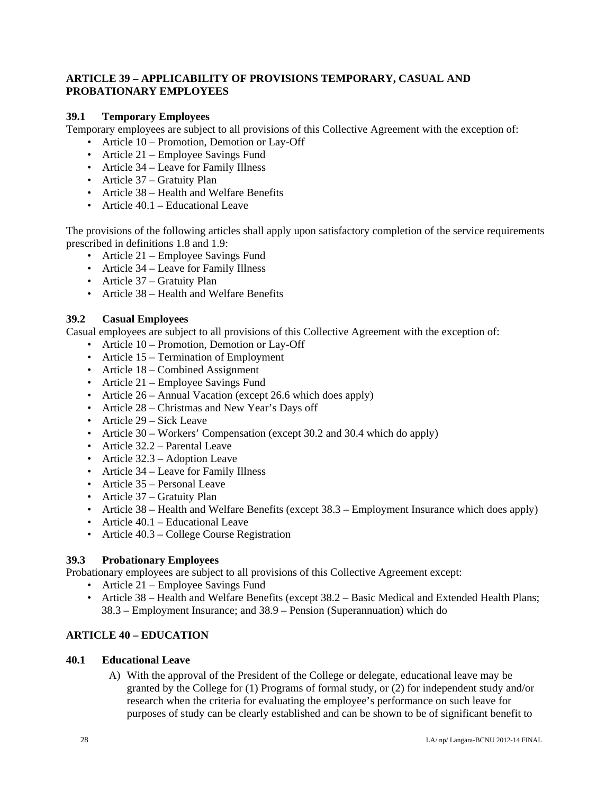#### **ARTICLE 39 – APPLICABILITY OF PROVISIONS TEMPORARY, CASUAL AND PROBATIONARY EMPLOYEES**

#### **39.1 Temporary Employees**

Temporary employees are subject to all provisions of this Collective Agreement with the exception of:

- Article 10 Promotion, Demotion or Lay-Off
- Article 21 Employee Savings Fund
- Article 34 Leave for Family Illness
- Article 37 Gratuity Plan
- Article 38 Health and Welfare Benefits
- Article 40.1 Educational Leave

The provisions of the following articles shall apply upon satisfactory completion of the service requirements prescribed in definitions 1.8 and 1.9:

- Article 21 Employee Savings Fund
- Article 34 Leave for Family Illness
- Article 37 Gratuity Plan
- Article 38 Health and Welfare Benefits

### **39.2 Casual Employees**

Casual employees are subject to all provisions of this Collective Agreement with the exception of:

- Article 10 Promotion, Demotion or Lay-Off
- Article 15 Termination of Employment
- Article 18 Combined Assignment
- Article 21 Employee Savings Fund
- Article 26 Annual Vacation (except 26.6 which does apply)
- Article 28 Christmas and New Year's Days off
- Article 29 Sick Leave
- Article 30 Workers' Compensation (except 30.2 and 30.4 which do apply)
- Article 32.2 Parental Leave
- Article 32.3 Adoption Leave
- Article 34 Leave for Family Illness
- Article 35 Personal Leave
- Article 37 Gratuity Plan
- Article 38 Health and Welfare Benefits (except 38.3 Employment Insurance which does apply)
- Article 40.1 Educational Leave
- Article 40.3 College Course Registration

## **39.3 Probationary Employees**

Probationary employees are subject to all provisions of this Collective Agreement except:

- Article 21 Employee Savings Fund
- Article 38 Health and Welfare Benefits (except 38.2 Basic Medical and Extended Health Plans; 38.3 – Employment Insurance; and 38.9 – Pension (Superannuation) which do

## **ARTICLE 40 – EDUCATION**

#### **40.1 Educational Leave**

A) With the approval of the President of the College or delegate, educational leave may be granted by the College for (1) Programs of formal study, or (2) for independent study and/or research when the criteria for evaluating the employee's performance on such leave for purposes of study can be clearly established and can be shown to be of significant benefit to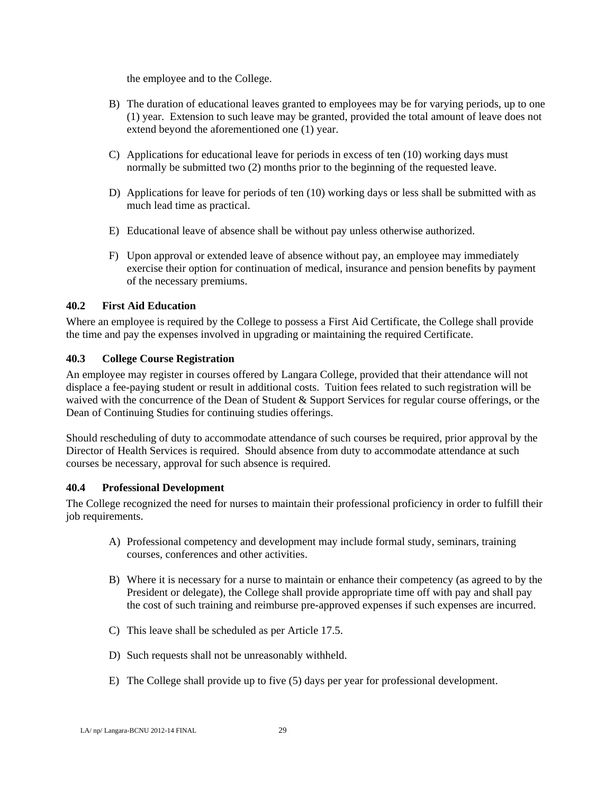the employee and to the College.

- B) The duration of educational leaves granted to employees may be for varying periods, up to one (1) year. Extension to such leave may be granted, provided the total amount of leave does not extend beyond the aforementioned one (1) year.
- C) Applications for educational leave for periods in excess of ten (10) working days must normally be submitted two (2) months prior to the beginning of the requested leave.
- D) Applications for leave for periods of ten (10) working days or less shall be submitted with as much lead time as practical.
- E) Educational leave of absence shall be without pay unless otherwise authorized.
- F) Upon approval or extended leave of absence without pay, an employee may immediately exercise their option for continuation of medical, insurance and pension benefits by payment of the necessary premiums.

## **40.2 First Aid Education**

Where an employee is required by the College to possess a First Aid Certificate, the College shall provide the time and pay the expenses involved in upgrading or maintaining the required Certificate.

## **40.3 College Course Registration**

An employee may register in courses offered by Langara College, provided that their attendance will not displace a fee-paying student or result in additional costs. Tuition fees related to such registration will be waived with the concurrence of the Dean of Student & Support Services for regular course offerings, or the Dean of Continuing Studies for continuing studies offerings.

Should rescheduling of duty to accommodate attendance of such courses be required, prior approval by the Director of Health Services is required. Should absence from duty to accommodate attendance at such courses be necessary, approval for such absence is required.

## **40.4 Professional Development**

The College recognized the need for nurses to maintain their professional proficiency in order to fulfill their job requirements.

- A) Professional competency and development may include formal study, seminars, training courses, conferences and other activities.
- B) Where it is necessary for a nurse to maintain or enhance their competency (as agreed to by the President or delegate), the College shall provide appropriate time off with pay and shall pay the cost of such training and reimburse pre-approved expenses if such expenses are incurred.
- C) This leave shall be scheduled as per Article 17.5.
- D) Such requests shall not be unreasonably withheld.
- E) The College shall provide up to five (5) days per year for professional development.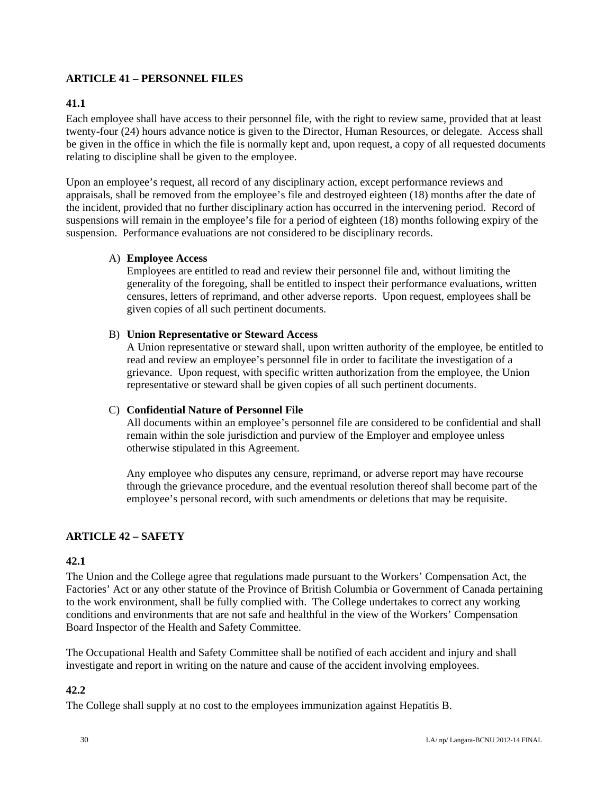## **ARTICLE 41 – PERSONNEL FILES**

#### **41.1**

Each employee shall have access to their personnel file, with the right to review same, provided that at least twenty-four (24) hours advance notice is given to the Director, Human Resources, or delegate. Access shall be given in the office in which the file is normally kept and, upon request, a copy of all requested documents relating to discipline shall be given to the employee.

Upon an employee's request, all record of any disciplinary action, except performance reviews and appraisals, shall be removed from the employee's file and destroyed eighteen (18) months after the date of the incident, provided that no further disciplinary action has occurred in the intervening period. Record of suspensions will remain in the employee's file for a period of eighteen (18) months following expiry of the suspension. Performance evaluations are not considered to be disciplinary records.

#### A) **Employee Access**

Employees are entitled to read and review their personnel file and, without limiting the generality of the foregoing, shall be entitled to inspect their performance evaluations, written censures, letters of reprimand, and other adverse reports. Upon request, employees shall be given copies of all such pertinent documents.

#### B) **Union Representative or Steward Access**

A Union representative or steward shall, upon written authority of the employee, be entitled to read and review an employee's personnel file in order to facilitate the investigation of a grievance. Upon request, with specific written authorization from the employee, the Union representative or steward shall be given copies of all such pertinent documents.

#### C) **Confidential Nature of Personnel File**

All documents within an employee's personnel file are considered to be confidential and shall remain within the sole jurisdiction and purview of the Employer and employee unless otherwise stipulated in this Agreement.

Any employee who disputes any censure, reprimand, or adverse report may have recourse through the grievance procedure, and the eventual resolution thereof shall become part of the employee's personal record, with such amendments or deletions that may be requisite.

#### **ARTICLE 42 – SAFETY**

#### **42.1**

The Union and the College agree that regulations made pursuant to the Workers' Compensation Act, the Factories' Act or any other statute of the Province of British Columbia or Government of Canada pertaining to the work environment, shall be fully complied with. The College undertakes to correct any working conditions and environments that are not safe and healthful in the view of the Workers' Compensation Board Inspector of the Health and Safety Committee.

The Occupational Health and Safety Committee shall be notified of each accident and injury and shall investigate and report in writing on the nature and cause of the accident involving employees.

#### **42.2**

The College shall supply at no cost to the employees immunization against Hepatitis B.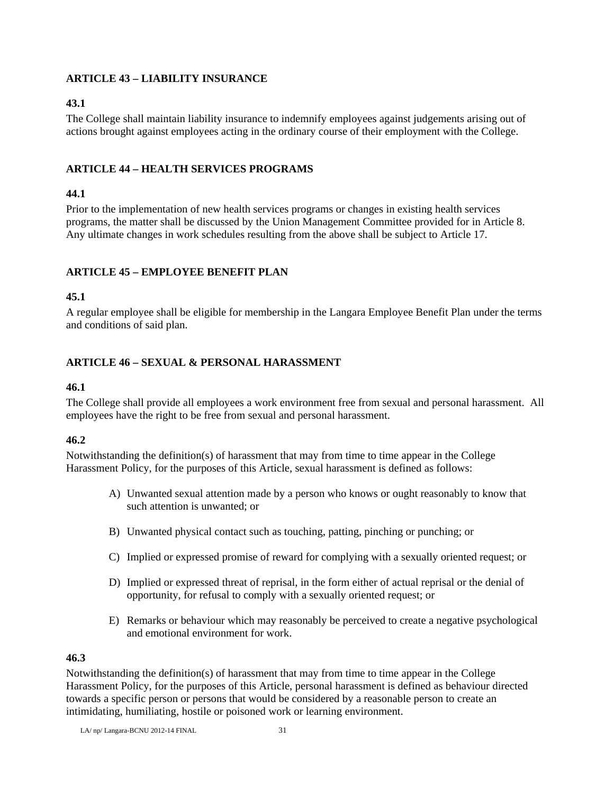### **ARTICLE 43 – LIABILITY INSURANCE**

## **43.1**

The College shall maintain liability insurance to indemnify employees against judgements arising out of actions brought against employees acting in the ordinary course of their employment with the College.

## **ARTICLE 44 – HEALTH SERVICES PROGRAMS**

## **44.1**

Prior to the implementation of new health services programs or changes in existing health services programs, the matter shall be discussed by the Union Management Committee provided for in Article 8. Any ultimate changes in work schedules resulting from the above shall be subject to Article 17.

## **ARTICLE 45 – EMPLOYEE BENEFIT PLAN**

## **45.1**

A regular employee shall be eligible for membership in the Langara Employee Benefit Plan under the terms and conditions of said plan.

### **ARTICLE 46 – SEXUAL & PERSONAL HARASSMENT**

### **46.1**

The College shall provide all employees a work environment free from sexual and personal harassment. All employees have the right to be free from sexual and personal harassment.

## **46.2**

Notwithstanding the definition(s) of harassment that may from time to time appear in the College Harassment Policy, for the purposes of this Article, sexual harassment is defined as follows:

- A) Unwanted sexual attention made by a person who knows or ought reasonably to know that such attention is unwanted; or
- B) Unwanted physical contact such as touching, patting, pinching or punching; or
- C) Implied or expressed promise of reward for complying with a sexually oriented request; or
- D) Implied or expressed threat of reprisal, in the form either of actual reprisal or the denial of opportunity, for refusal to comply with a sexually oriented request; or
- E) Remarks or behaviour which may reasonably be perceived to create a negative psychological and emotional environment for work.

## **46.3**

Notwithstanding the definition(s) of harassment that may from time to time appear in the College Harassment Policy, for the purposes of this Article, personal harassment is defined as behaviour directed towards a specific person or persons that would be considered by a reasonable person to create an intimidating, humiliating, hostile or poisoned work or learning environment.

LA/ $np$ / Langara-BCNU 2012-14 FINAL  $31$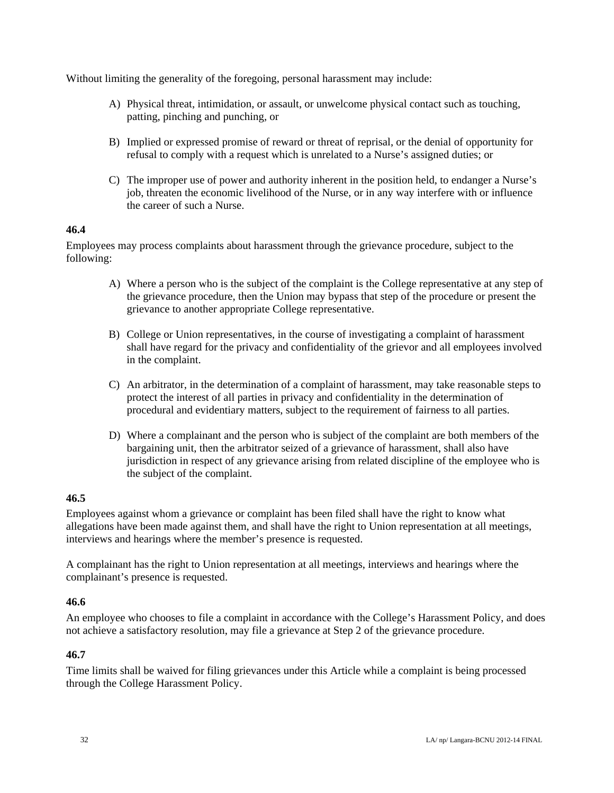Without limiting the generality of the foregoing, personal harassment may include:

- A) Physical threat, intimidation, or assault, or unwelcome physical contact such as touching, patting, pinching and punching, or
- B) Implied or expressed promise of reward or threat of reprisal, or the denial of opportunity for refusal to comply with a request which is unrelated to a Nurse's assigned duties; or
- C) The improper use of power and authority inherent in the position held, to endanger a Nurse's job, threaten the economic livelihood of the Nurse, or in any way interfere with or influence the career of such a Nurse.

#### **46.4**

Employees may process complaints about harassment through the grievance procedure, subject to the following:

- A) Where a person who is the subject of the complaint is the College representative at any step of the grievance procedure, then the Union may bypass that step of the procedure or present the grievance to another appropriate College representative.
- B) College or Union representatives, in the course of investigating a complaint of harassment shall have regard for the privacy and confidentiality of the grievor and all employees involved in the complaint.
- C) An arbitrator, in the determination of a complaint of harassment, may take reasonable steps to protect the interest of all parties in privacy and confidentiality in the determination of procedural and evidentiary matters, subject to the requirement of fairness to all parties.
- D) Where a complainant and the person who is subject of the complaint are both members of the bargaining unit, then the arbitrator seized of a grievance of harassment, shall also have jurisdiction in respect of any grievance arising from related discipline of the employee who is the subject of the complaint.

## **46.5**

Employees against whom a grievance or complaint has been filed shall have the right to know what allegations have been made against them, and shall have the right to Union representation at all meetings, interviews and hearings where the member's presence is requested.

A complainant has the right to Union representation at all meetings, interviews and hearings where the complainant's presence is requested.

#### **46.6**

An employee who chooses to file a complaint in accordance with the College's Harassment Policy, and does not achieve a satisfactory resolution, may file a grievance at Step 2 of the grievance procedure.

#### **46.7**

Time limits shall be waived for filing grievances under this Article while a complaint is being processed through the College Harassment Policy.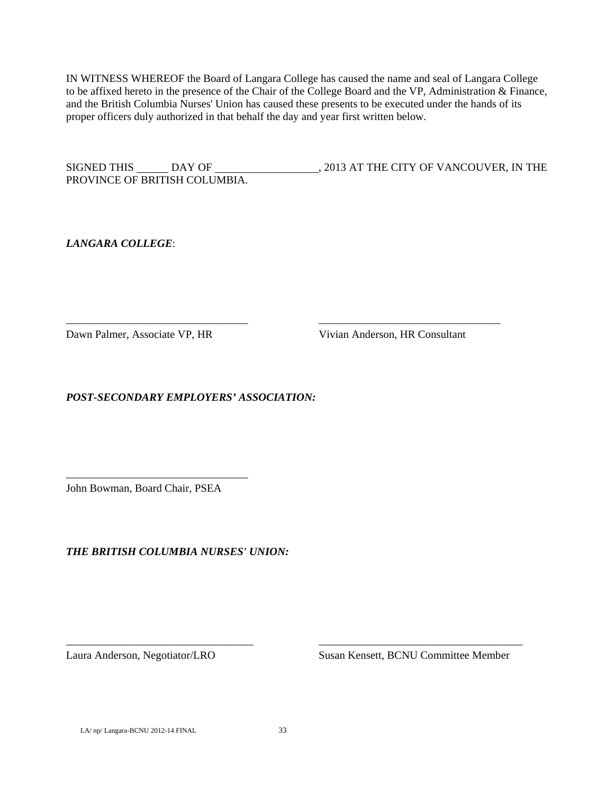IN WITNESS WHEREOF the Board of Langara College has caused the name and seal of Langara College to be affixed hereto in the presence of the Chair of the College Board and the VP, Administration & Finance, and the British Columbia Nurses' Union has caused these presents to be executed under the hands of its proper officers duly authorized in that behalf the day and year first written below.

SIGNED THIS DAY OF , 2013 AT THE CITY OF VANCOUVER, IN THE PROVINCE OF BRITISH COLUMBIA.

\_\_\_\_\_\_\_\_\_\_\_\_\_\_\_\_\_\_\_\_\_\_\_\_\_\_\_\_\_\_\_\_\_ \_\_\_\_\_\_\_\_\_\_\_\_\_\_\_\_\_\_\_\_\_\_\_\_\_\_\_\_\_\_\_\_\_

*LANGARA COLLEGE*:

Dawn Palmer, Associate VP, HR Vivian Anderson, HR Consultant

*POST-SECONDARY EMPLOYERS' ASSOCIATION:* 

John Bowman, Board Chair, PSEA

\_\_\_\_\_\_\_\_\_\_\_\_\_\_\_\_\_\_\_\_\_\_\_\_\_\_\_\_\_\_\_\_\_

*THE BRITISH COLUMBIA NURSES' UNION:* 

Laura Anderson, Negotiator/LRO Susan Kensett, BCNU Committee Member

LA/ np/ Langara-BCNU 2012-14 FINAL 33

\_\_\_\_\_\_\_\_\_\_\_\_\_\_\_\_\_\_\_\_\_\_\_\_\_\_\_\_\_\_\_\_\_\_ \_\_\_\_\_\_\_\_\_\_\_\_\_\_\_\_\_\_\_\_\_\_\_\_\_\_\_\_\_\_\_\_\_\_\_\_\_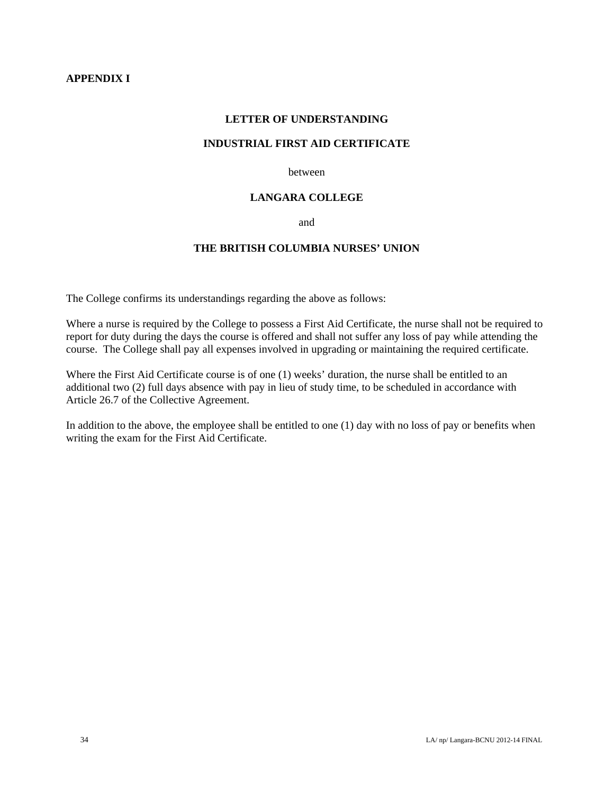#### **LETTER OF UNDERSTANDING**

#### **INDUSTRIAL FIRST AID CERTIFICATE**

between

#### **LANGARA COLLEGE**

and

## **THE BRITISH COLUMBIA NURSES' UNION**

The College confirms its understandings regarding the above as follows:

Where a nurse is required by the College to possess a First Aid Certificate, the nurse shall not be required to report for duty during the days the course is offered and shall not suffer any loss of pay while attending the course. The College shall pay all expenses involved in upgrading or maintaining the required certificate.

Where the First Aid Certificate course is of one (1) weeks' duration, the nurse shall be entitled to an additional two (2) full days absence with pay in lieu of study time, to be scheduled in accordance with Article 26.7 of the Collective Agreement.

In addition to the above, the employee shall be entitled to one (1) day with no loss of pay or benefits when writing the exam for the First Aid Certificate.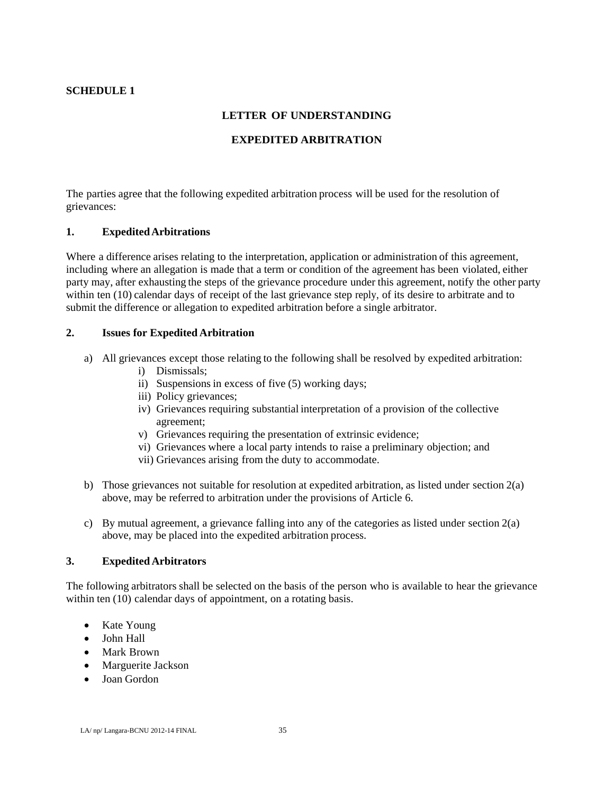## **SCHEDULE 1**

#### **LETTER OF UNDERSTANDING**

#### **EXPEDITED ARBITRATION**

The parties agree that the following expedited arbitration process will be used for the resolution of grievances:

#### **1. Expedited Arbitrations**

Where a difference arises relating to the interpretation, application or administration of this agreement, including where an allegation is made that a term or condition of the agreement has been violated, either party may, after exhausting the steps of the grievance procedure under this agreement, notify the other party within ten (10) calendar days of receipt of the last grievance step reply, of its desire to arbitrate and to submit the difference or allegation to expedited arbitration before a single arbitrator.

#### **2. Issues for Expedited Arbitration**

- a) All grievances except those relating to the following shall be resolved by expedited arbitration:
	- i) Dismissals;
	- ii) Suspensions in excess of five (5) working days;
	- iii) Policy grievances;
	- iv) Grievances requiring substantial interpretation of a provision of the collective agreement;
	- v) Grievances requiring the presentation of extrinsic evidence;
	- vi) Grievances where a local party intends to raise a preliminary objection; and
	- vii) Grievances arising from the duty to accommodate.
- b) Those grievances not suitable for resolution at expedited arbitration, as listed under section 2(a) above, may be referred to arbitration under the provisions of Article 6.
- c) By mutual agreement, a grievance falling into any of the categories as listed under section 2(a) above, may be placed into the expedited arbitration process.

#### **3. Expedited Arbitrators**

The following arbitrators shall be selected on the basis of the person who is available to hear the grievance within ten (10) calendar days of appointment, on a rotating basis.

- Kate Young
- John Hall
- Mark Brown
- Marguerite Jackson
- Joan Gordon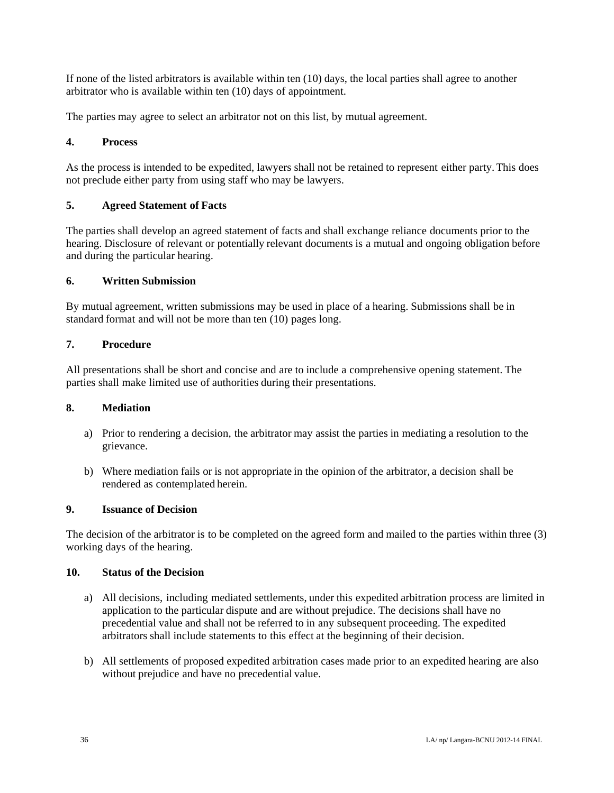If none of the listed arbitrators is available within ten (10) days, the local parties shall agree to another arbitrator who is available within ten (10) days of appointment.

The parties may agree to select an arbitrator not on this list, by mutual agreement.

#### **4. Process**

As the process is intended to be expedited, lawyers shall not be retained to represent either party. This does not preclude either party from using staff who may be lawyers.

### **5. Agreed Statement of Facts**

The parties shall develop an agreed statement of facts and shall exchange reliance documents prior to the hearing. Disclosure of relevant or potentially relevant documents is a mutual and ongoing obligation before and during the particular hearing.

#### **6. Written Submission**

By mutual agreement, written submissions may be used in place of a hearing. Submissions shall be in standard format and will not be more than ten (10) pages long.

#### **7. Procedure**

All presentations shall be short and concise and are to include a comprehensive opening statement. The parties shall make limited use of authorities during their presentations.

#### **8. Mediation**

- a) Prior to rendering a decision, the arbitrator may assist the parties in mediating a resolution to the grievance.
- b) Where mediation fails or is not appropriate in the opinion of the arbitrator, a decision shall be rendered as contemplated herein.

#### **9. Issuance of Decision**

The decision of the arbitrator is to be completed on the agreed form and mailed to the parties within three (3) working days of the hearing.

#### **10. Status of the Decision**

- a) All decisions, including mediated settlements, under this expedited arbitration process are limited in application to the particular dispute and are without prejudice. The decisions shall have no precedential value and shall not be referred to in any subsequent proceeding. The expedited arbitrators shall include statements to this effect at the beginning of their decision.
- b) All settlements of proposed expedited arbitration cases made prior to an expedited hearing are also without prejudice and have no precedential value.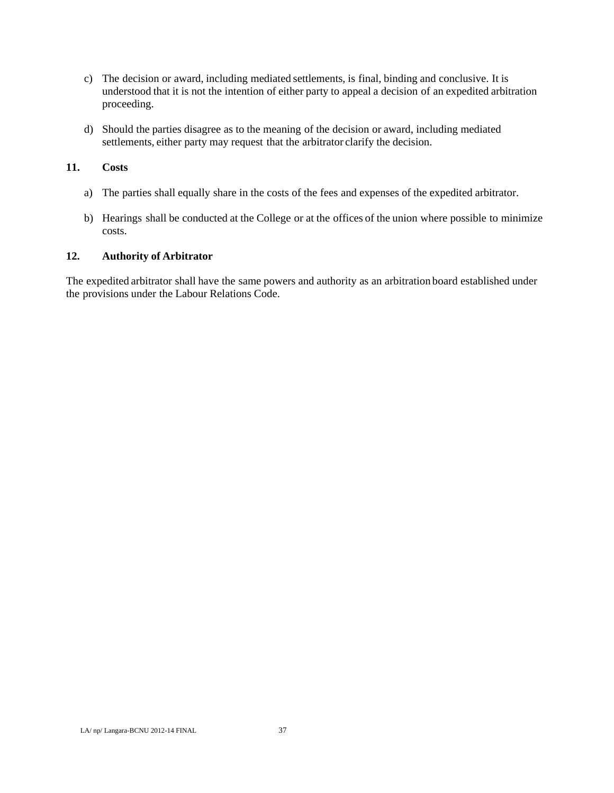- c) The decision or award, including mediated settlements, is final, binding and conclusive. It is understood that it is not the intention of either party to appeal a decision of an expedited arbitration proceeding.
- d) Should the parties disagree as to the meaning of the decision or award, including mediated settlements, either party may request that the arbitrator clarify the decision.

#### **11. Costs**

- a) The parties shall equally share in the costs of the fees and expenses of the expedited arbitrator.
- b) Hearings shall be conducted at the College or at the offices of the union where possible to minimize costs.

#### **12. Authority of Arbitrator**

The expedited arbitrator shall have the same powers and authority as an arbitration board established under the provisions under the Labour Relations Code.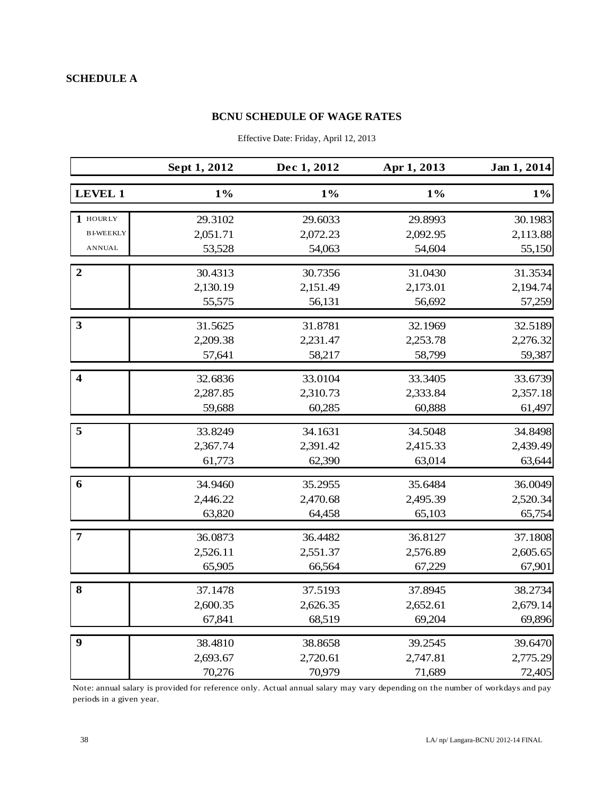## **BCNU SCHEDULE OF WAGE RATES**

|                         | Sept 1, 2012 | Dec 1, 2012 | Apr 1, 2013 | Jan 1, 2014 |
|-------------------------|--------------|-------------|-------------|-------------|
| <b>LEVEL 1</b>          | $1\%$        | $1\%$       | $1\%$       | $1\%$       |
| 1 HOURLY                | 29.3102      | 29.6033     | 29.8993     | 30.1983     |
| <b>BI-WEEKLY</b>        | 2,051.71     | 2,072.23    | 2,092.95    | 2,113.88    |
| <b>ANNUAL</b>           | 53,528       | 54,063      | 54,604      | 55,150      |
| $\boldsymbol{2}$        | 30.4313      | 30.7356     | 31.0430     | 31.3534     |
|                         | 2,130.19     | 2,151.49    | 2,173.01    | 2,194.74    |
|                         | 55,575       | 56,131      | 56,692      | 57,259      |
| 3                       | 31.5625      | 31.8781     | 32.1969     | 32.5189     |
|                         | 2,209.38     | 2,231.47    | 2,253.78    | 2,276.32    |
|                         | 57,641       | 58,217      | 58,799      | 59,387      |
| $\overline{\mathbf{4}}$ | 32.6836      | 33.0104     | 33.3405     | 33.6739     |
|                         | 2,287.85     | 2,310.73    | 2,333.84    | 2,357.18    |
|                         | 59,688       | 60,285      | 60,888      | 61,497      |
| 5                       | 33.8249      | 34.1631     | 34.5048     | 34.8498     |
|                         | 2,367.74     | 2,391.42    | 2,415.33    | 2,439.49    |
|                         | 61,773       | 62,390      | 63,014      | 63,644      |
| 6                       | 34.9460      | 35.2955     | 35.6484     | 36.0049     |
|                         | 2,446.22     | 2,470.68    | 2,495.39    | 2,520.34    |
|                         | 63,820       | 64,458      | 65,103      | 65,754      |
| $\overline{7}$          | 36.0873      | 36.4482     | 36.8127     | 37.1808     |
|                         | 2,526.11     | 2,551.37    | 2,576.89    | 2,605.65    |
|                         | 65,905       | 66,564      | 67,229      | 67,901      |
| 8                       | 37.1478      | 37.5193     | 37.8945     | 38.2734     |
|                         | 2,600.35     | 2,626.35    | 2,652.61    | 2,679.14    |
|                         | 67,841       | 68,519      | 69,204      | 69,896      |
| $\boldsymbol{9}$        | 38.4810      | 38.8658     | 39.2545     | 39.6470     |
|                         | 2,693.67     | 2,720.61    | 2,747.81    | 2,775.29    |
|                         | 70,276       | 70,979      | 71,689      | 72,405      |

Effective Date: Friday, April 12, 2013

Note: annual salary is provided for reference only. Actual annual salary may vary depending on the number of workdays and pay periods in a given year.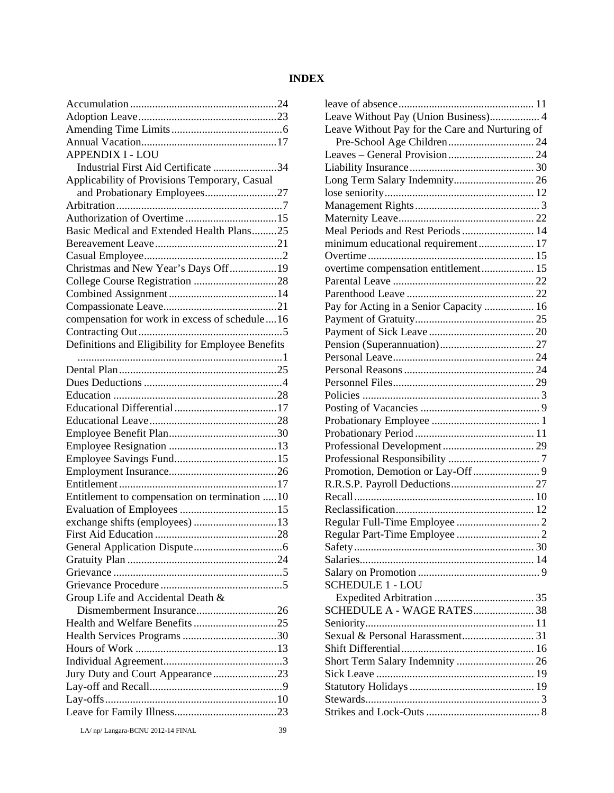#### **INDEX**

| <b>APPENDIX I - LOU</b>                           |  |
|---------------------------------------------------|--|
| Industrial First Aid Certificate 34               |  |
| Applicability of Provisions Temporary, Casual     |  |
| and Probationary Employees27                      |  |
|                                                   |  |
|                                                   |  |
| Basic Medical and Extended Health Plans25         |  |
|                                                   |  |
|                                                   |  |
| Christmas and New Year's Days Off19               |  |
|                                                   |  |
|                                                   |  |
|                                                   |  |
| compensation for work in excess of schedule16     |  |
|                                                   |  |
| Definitions and Eligibility for Employee Benefits |  |
|                                                   |  |
|                                                   |  |
|                                                   |  |
|                                                   |  |
|                                                   |  |
|                                                   |  |
|                                                   |  |
|                                                   |  |
|                                                   |  |
|                                                   |  |
|                                                   |  |
|                                                   |  |
|                                                   |  |
| Entitlement to compensation on termination 10     |  |
|                                                   |  |
| exchange shifts (employees) 13                    |  |
|                                                   |  |
|                                                   |  |
|                                                   |  |
|                                                   |  |
|                                                   |  |
| Group Life and Accidental Death &                 |  |
|                                                   |  |
|                                                   |  |
|                                                   |  |
|                                                   |  |
|                                                   |  |
| Jury Duty and Court Appearance23                  |  |
|                                                   |  |
|                                                   |  |

leave of absence ................................................. 11 Leave Without Pay (Union Business).................. 4 Leave Without Pay for the Care and Nurturing of